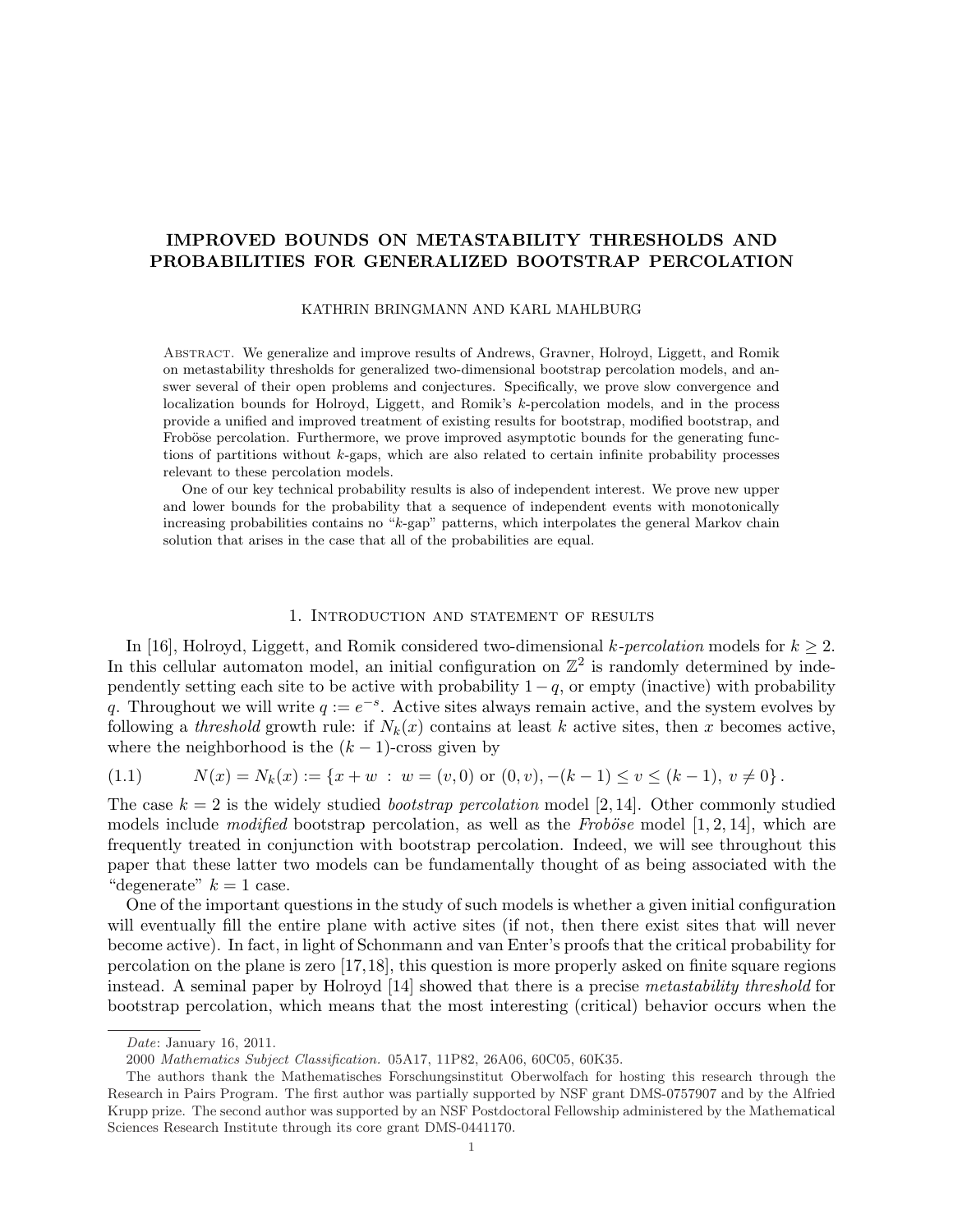# IMPROVED BOUNDS ON METASTABILITY THRESHOLDS AND PROBABILITIES FOR GENERALIZED BOOTSTRAP PERCOLATION

KATHRIN BRINGMANN AND KARL MAHLBURG

Abstract. We generalize and improve results of Andrews, Gravner, Holroyd, Liggett, and Romik on metastability thresholds for generalized two-dimensional bootstrap percolation models, and answer several of their open problems and conjectures. Specifically, we prove slow convergence and localization bounds for Holroyd, Liggett, and Romik's k-percolation models, and in the process provide a unified and improved treatment of existing results for bootstrap, modified bootstrap, and Froböse percolation. Furthermore, we prove improved asymptotic bounds for the generating functions of partitions without  $k$ -gaps, which are also related to certain infinite probability processes relevant to these percolation models.

One of our key technical probability results is also of independent interest. We prove new upper and lower bounds for the probability that a sequence of independent events with monotonically increasing probabilities contains no "k-gap" patterns, which interpolates the general Markov chain solution that arises in the case that all of the probabilities are equal.

## 1. Introduction and statement of results

In [16], Holroyd, Liggett, and Romik considered two-dimensional k-percolation models for  $k \geq 2$ . In this cellular automaton model, an initial configuration on  $\mathbb{Z}^2$  is randomly determined by independently setting each site to be active with probability  $1 - q$ , or empty (inactive) with probability q. Throughout we will write  $q := e^{-s}$ . Active sites always remain active, and the system evolves by following a threshold growth rule: if  $N_k(x)$  contains at least k active sites, then x becomes active, where the neighborhood is the  $(k-1)$ -cross given by

$$
(1.1) \t N(x) = N_k(x) := \{x + w : w = (v, 0) \text{ or } (0, v), -(k - 1) \le v \le (k - 1), v \ne 0\}.
$$

The case  $k = 2$  is the widely studied *bootstrap percolation* model [2, 14]. Other commonly studied models include *modified* bootstrap percolation, as well as the Froböse model [1, 2, 14], which are frequently treated in conjunction with bootstrap percolation. Indeed, we will see throughout this paper that these latter two models can be fundamentally thought of as being associated with the "degenerate"  $k = 1$  case.

One of the important questions in the study of such models is whether a given initial configuration will eventually fill the entire plane with active sites (if not, then there exist sites that will never become active). In fact, in light of Schonmann and van Enter's proofs that the critical probability for percolation on the plane is zero [17,18], this question is more properly asked on finite square regions instead. A seminal paper by Holroyd [14] showed that there is a precise metastability threshold for bootstrap percolation, which means that the most interesting (critical) behavior occurs when the

Date: January 16, 2011.

<sup>2000</sup> Mathematics Subject Classification. 05A17, 11P82, 26A06, 60C05, 60K35.

The authors thank the Mathematisches Forschungsinstitut Oberwolfach for hosting this research through the Research in Pairs Program. The first author was partially supported by NSF grant DMS-0757907 and by the Alfried Krupp prize. The second author was supported by an NSF Postdoctoral Fellowship administered by the Mathematical Sciences Research Institute through its core grant DMS-0441170.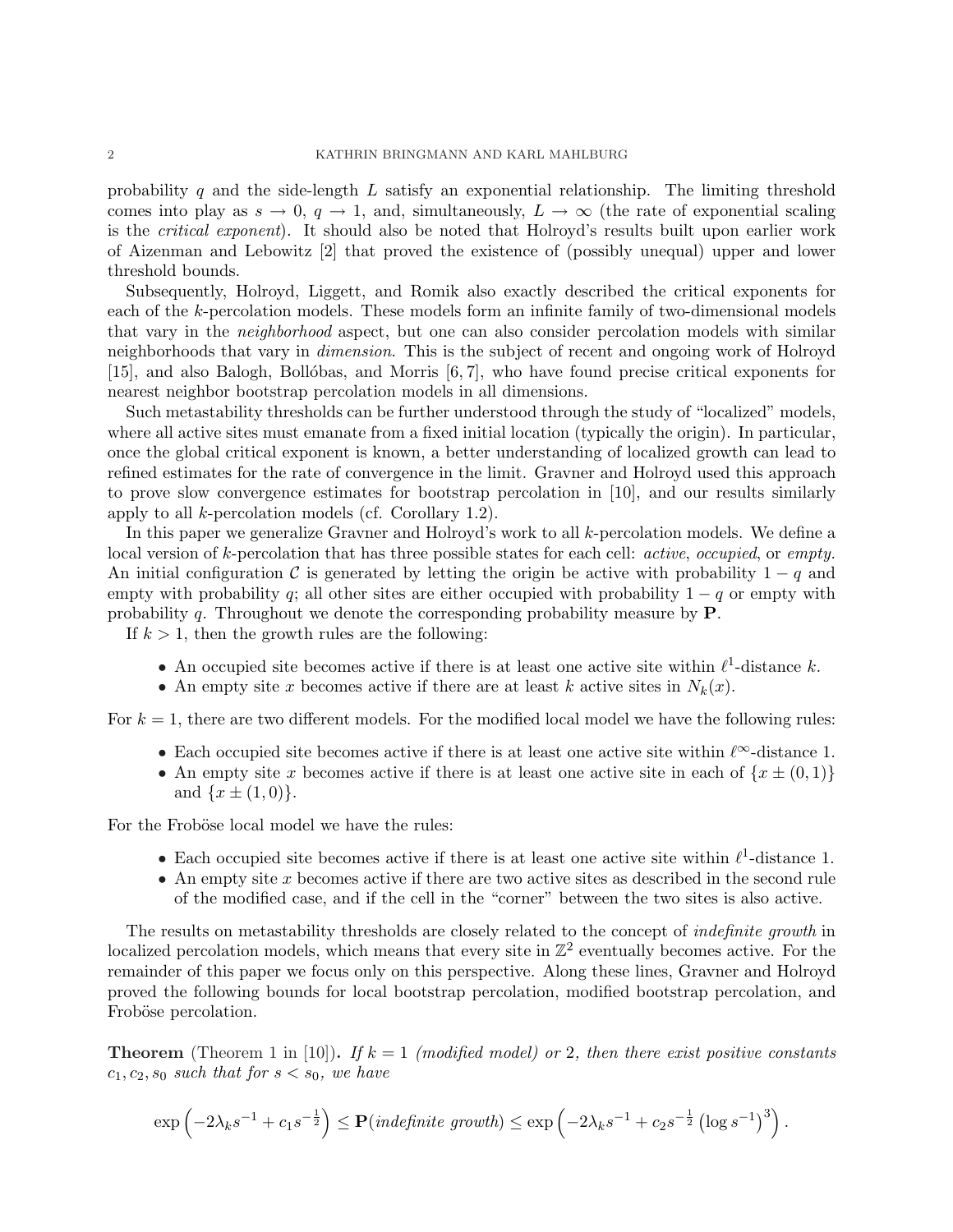probability q and the side-length  $L$  satisfy an exponential relationship. The limiting threshold comes into play as  $s \to 0$ ,  $q \to 1$ , and, simultaneously,  $L \to \infty$  (the rate of exponential scaling is the critical exponent). It should also be noted that Holroyd's results built upon earlier work of Aizenman and Lebowitz [2] that proved the existence of (possibly unequal) upper and lower threshold bounds.

Subsequently, Holroyd, Liggett, and Romik also exactly described the critical exponents for each of the k-percolation models. These models form an infinite family of two-dimensional models that vary in the neighborhood aspect, but one can also consider percolation models with similar neighborhoods that vary in *dimension*. This is the subject of recent and ongoing work of Holroyd  $[15]$ , and also Balogh, Bollóbas, and Morris  $[6, 7]$ , who have found precise critical exponents for nearest neighbor bootstrap percolation models in all dimensions.

Such metastability thresholds can be further understood through the study of "localized" models, where all active sites must emanate from a fixed initial location (typically the origin). In particular, once the global critical exponent is known, a better understanding of localized growth can lead to refined estimates for the rate of convergence in the limit. Gravner and Holroyd used this approach to prove slow convergence estimates for bootstrap percolation in [10], and our results similarly apply to all k-percolation models (cf. Corollary 1.2).

In this paper we generalize Gravner and Holroyd's work to all k-percolation models. We define a local version of k-percolation that has three possible states for each cell: *active, occupied,* or *empty*. An initial configuration C is generated by letting the origin be active with probability  $1 - q$  and empty with probability q; all other sites are either occupied with probability  $1 - q$  or empty with probability q. Throughout we denote the corresponding probability measure by  $P$ .

If  $k > 1$ , then the growth rules are the following:

- An occupied site becomes active if there is at least one active site within  $\ell^1$ -distance k.
- An empty site x becomes active if there are at least k active sites in  $N_k(x)$ .

For  $k = 1$ , there are two different models. For the modified local model we have the following rules:

- Each occupied site becomes active if there is at least one active site within  $\ell^{\infty}$ -distance 1.
- An empty site x becomes active if there is at least one active site in each of  $\{x \pm (0,1)\}\$ and  $\{x \pm (1,0)\}.$

For the Froböse local model we have the rules:

- Each occupied site becomes active if there is at least one active site within  $\ell^1$ -distance 1.
- An empty site  $x$  becomes active if there are two active sites as described in the second rule of the modified case, and if the cell in the "corner" between the two sites is also active.

The results on metastability thresholds are closely related to the concept of indefinite growth in localized percolation models, which means that every site in  $\mathbb{Z}^2$  eventually becomes active. For the remainder of this paper we focus only on this perspective. Along these lines, Gravner and Holroyd proved the following bounds for local bootstrap percolation, modified bootstrap percolation, and Froböse percolation.

**Theorem** (Theorem 1 in [10]). If  $k = 1$  (modified model) or 2, then there exist positive constants  $c_1, c_2, s_0$  such that for  $s < s_0$ , we have

$$
\exp\left(-2\lambda_k s^{-1} + c_1 s^{-\frac{1}{2}}\right) \le \mathbf{P}(\text{indefinite growth}) \le \exp\left(-2\lambda_k s^{-1} + c_2 s^{-\frac{1}{2}}\left(\log s^{-1}\right)^3\right).
$$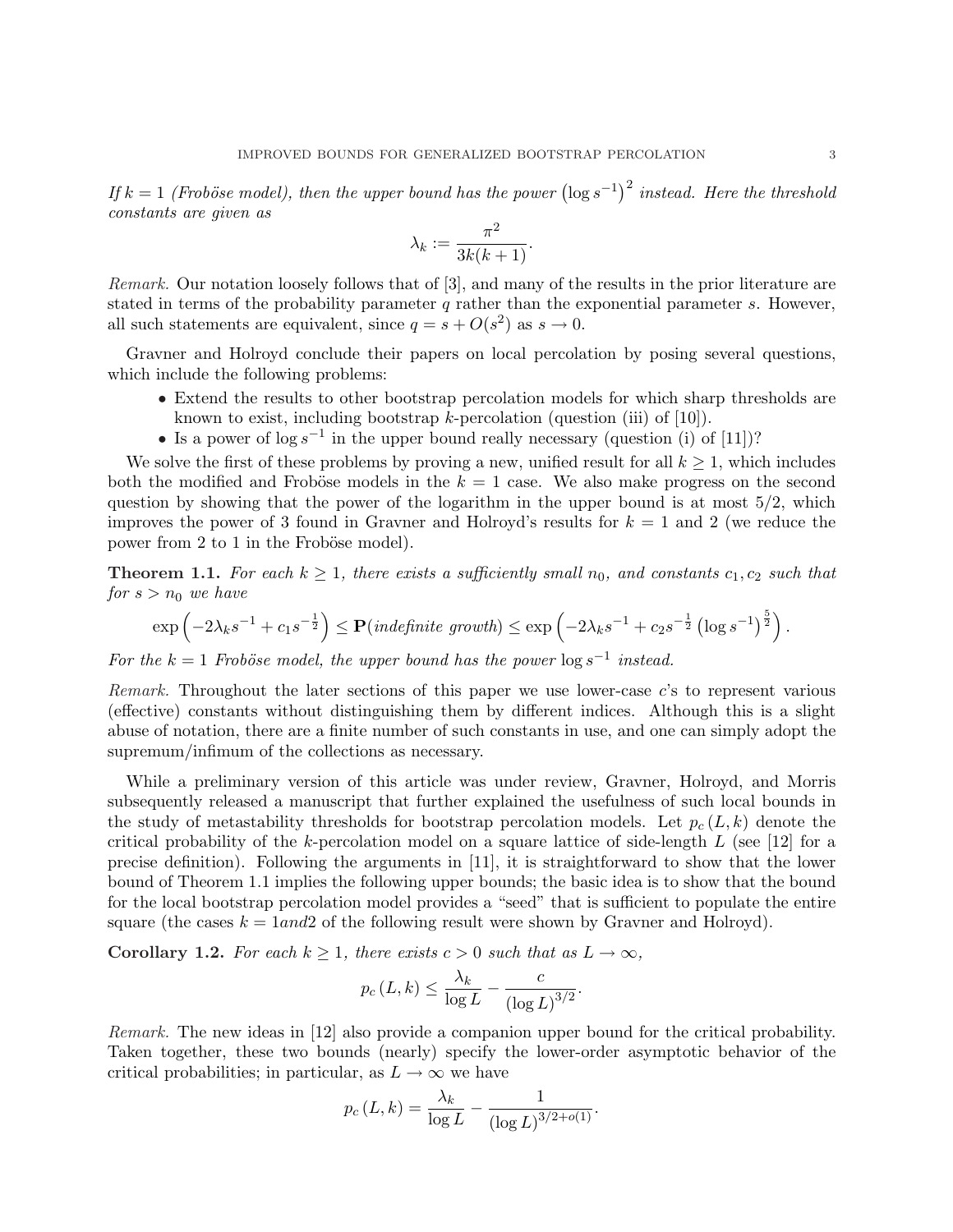If  $k = 1$  (Froböse model), then the upper bound has the power  $(\log s^{-1})^2$  instead. Here the threshold constants are given as

$$
\lambda_k := \frac{\pi^2}{3k(k+1)}.
$$

Remark. Our notation loosely follows that of [3], and many of the results in the prior literature are stated in terms of the probability parameter q rather than the exponential parameter  $s$ . However, all such statements are equivalent, since  $q = s + O(s^2)$  as  $s \to 0$ .

Gravner and Holroyd conclude their papers on local percolation by posing several questions, which include the following problems:

- Extend the results to other bootstrap percolation models for which sharp thresholds are known to exist, including bootstrap  $k$ -percolation (question (iii) of [10]).
- Is a power of  $\log s^{-1}$  in the upper bound really necessary (question (i) of [11])?

We solve the first of these problems by proving a new, unified result for all  $k \geq 1$ , which includes both the modified and Froböse models in the  $k = 1$  case. We also make progress on the second question by showing that the power of the logarithm in the upper bound is at most  $5/2$ , which improves the power of 3 found in Gravner and Holroyd's results for  $k = 1$  and 2 (we reduce the power from 2 to 1 in the Froböse model).

**Theorem 1.1.** For each  $k \geq 1$ , there exists a sufficiently small  $n_0$ , and constants  $c_1, c_2$  such that for  $s > n_0$  we have

$$
\exp\left(-2\lambda_k s^{-1} + c_1 s^{-\frac{1}{2}}\right) \le \mathbf{P}(\text{indefinite growth}) \le \exp\left(-2\lambda_k s^{-1} + c_2 s^{-\frac{1}{2}}\left(\log s^{-1}\right)^{\frac{5}{2}}\right).
$$

For the  $k = 1$  Froböse model, the upper bound has the power  $\log s^{-1}$  instead.

Remark. Throughout the later sections of this paper we use lower-case c's to represent various (effective) constants without distinguishing them by different indices. Although this is a slight abuse of notation, there are a finite number of such constants in use, and one can simply adopt the supremum/infimum of the collections as necessary.

While a preliminary version of this article was under review, Gravner, Holroyd, and Morris subsequently released a manuscript that further explained the usefulness of such local bounds in the study of metastability thresholds for bootstrap percolation models. Let  $p_c(L, k)$  denote the critical probability of the k-percolation model on a square lattice of side-length  $L$  (see [12] for a precise definition). Following the arguments in [11], it is straightforward to show that the lower bound of Theorem 1.1 implies the following upper bounds; the basic idea is to show that the bound for the local bootstrap percolation model provides a "seed" that is sufficient to populate the entire square (the cases  $k = 1$ and2 of the following result were shown by Gravner and Holroyd).

Corollary 1.2. For each  $k \geq 1$ , there exists  $c > 0$  such that as  $L \to \infty$ ,

$$
p_c(L,k) \le \frac{\lambda_k}{\log L} - \frac{c}{(\log L)^{3/2}}.
$$

Remark. The new ideas in [12] also provide a companion upper bound for the critical probability. Taken together, these two bounds (nearly) specify the lower-order asymptotic behavior of the critical probabilities; in particular, as  $L \to \infty$  we have

$$
p_c(L,k) = \frac{\lambda_k}{\log L} - \frac{1}{(\log L)^{3/2 + o(1)}}.
$$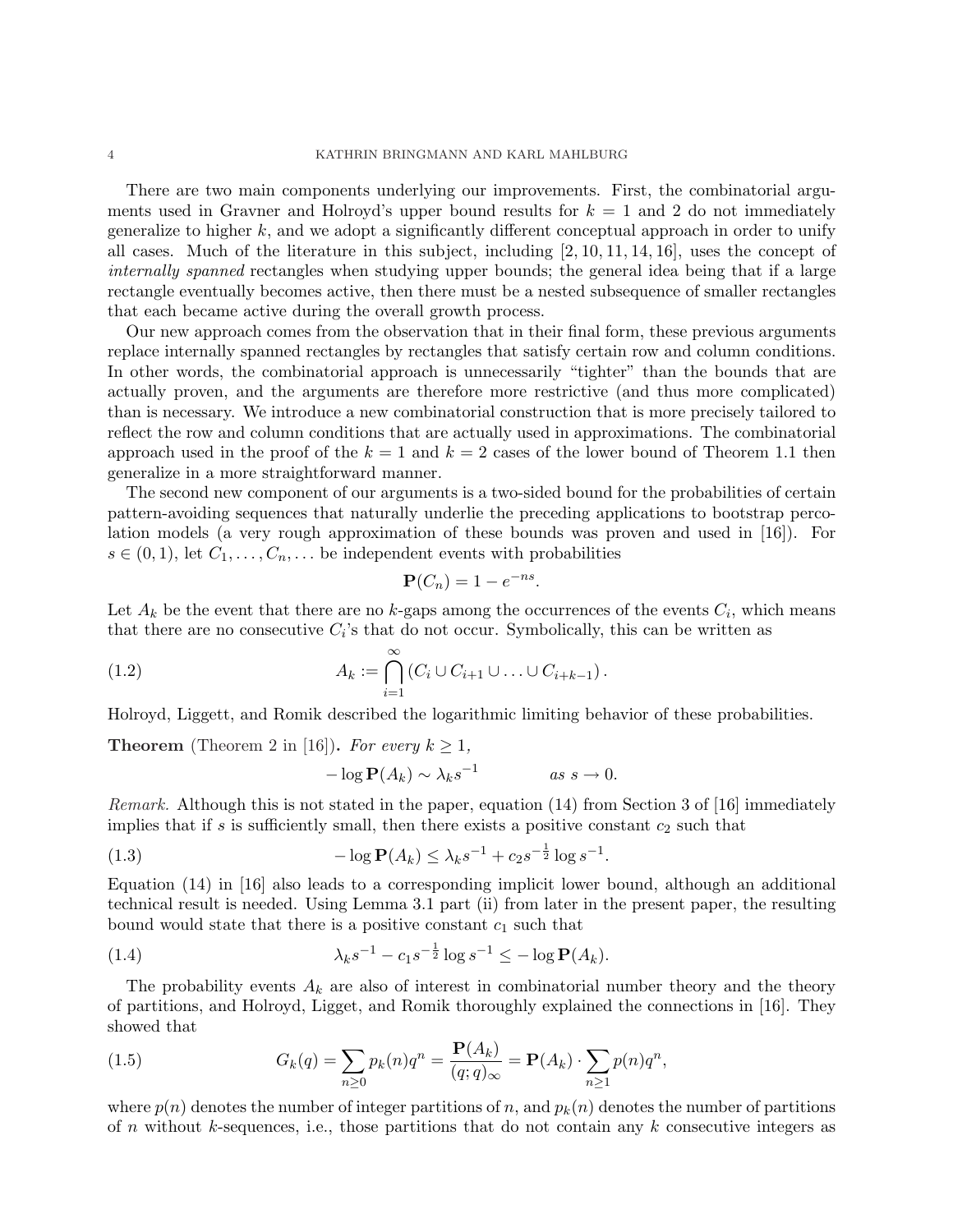There are two main components underlying our improvements. First, the combinatorial arguments used in Gravner and Holroyd's upper bound results for  $k = 1$  and 2 do not immediately generalize to higher  $k$ , and we adopt a significantly different conceptual approach in order to unify all cases. Much of the literature in this subject, including [2, 10, 11, 14, 16], uses the concept of internally spanned rectangles when studying upper bounds; the general idea being that if a large rectangle eventually becomes active, then there must be a nested subsequence of smaller rectangles that each became active during the overall growth process.

Our new approach comes from the observation that in their final form, these previous arguments replace internally spanned rectangles by rectangles that satisfy certain row and column conditions. In other words, the combinatorial approach is unnecessarily "tighter" than the bounds that are actually proven, and the arguments are therefore more restrictive (and thus more complicated) than is necessary. We introduce a new combinatorial construction that is more precisely tailored to reflect the row and column conditions that are actually used in approximations. The combinatorial approach used in the proof of the  $k = 1$  and  $k = 2$  cases of the lower bound of Theorem 1.1 then generalize in a more straightforward manner.

The second new component of our arguments is a two-sided bound for the probabilities of certain pattern-avoiding sequences that naturally underlie the preceding applications to bootstrap percolation models (a very rough approximation of these bounds was proven and used in [16]). For  $s \in (0,1)$ , let  $C_1, \ldots, C_n, \ldots$  be independent events with probabilities

$$
\mathbf{P}(C_n) = 1 - e^{-ns}.
$$

Let  $A_k$  be the event that there are no k-gaps among the occurrences of the events  $C_i$ , which means that there are no consecutive  $C_i$ 's that do not occur. Symbolically, this can be written as

(1.2) 
$$
A_k := \bigcap_{i=1}^{\infty} (C_i \cup C_{i+1} \cup \ldots \cup C_{i+k-1}).
$$

Holroyd, Liggett, and Romik described the logarithmic limiting behavior of these probabilities.

**Theorem** (Theorem 2 in [16]). For every  $k \geq 1$ ,

$$
-\log \mathbf{P}(A_k) \sim \lambda_k s^{-1} \qquad \text{as } s \to 0.
$$

Remark. Although this is not stated in the paper, equation (14) from Section 3 of [16] immediately implies that if s is sufficiently small, then there exists a positive constant  $c_2$  such that

(1.3) 
$$
-\log P(A_k) \leq \lambda_k s^{-1} + c_2 s^{-\frac{1}{2}} \log s^{-1}.
$$

Equation (14) in [16] also leads to a corresponding implicit lower bound, although an additional technical result is needed. Using Lemma 3.1 part (ii) from later in the present paper, the resulting bound would state that there is a positive constant  $c_1$  such that

(1.4) 
$$
\lambda_k s^{-1} - c_1 s^{-\frac{1}{2}} \log s^{-1} \leq -\log \mathbf{P}(A_k).
$$

The probability events  $A_k$  are also of interest in combinatorial number theory and the theory of partitions, and Holroyd, Ligget, and Romik thoroughly explained the connections in [16]. They showed that

(1.5) 
$$
G_k(q) = \sum_{n\geq 0} p_k(n)q^n = \frac{\mathbf{P}(A_k)}{(q;q)_{\infty}} = \mathbf{P}(A_k) \cdot \sum_{n\geq 1} p(n)q^n,
$$

where  $p(n)$  denotes the number of integer partitions of n, and  $p_k(n)$  denotes the number of partitions of n without k-sequences, i.e., those partitions that do not contain any  $k$  consecutive integers as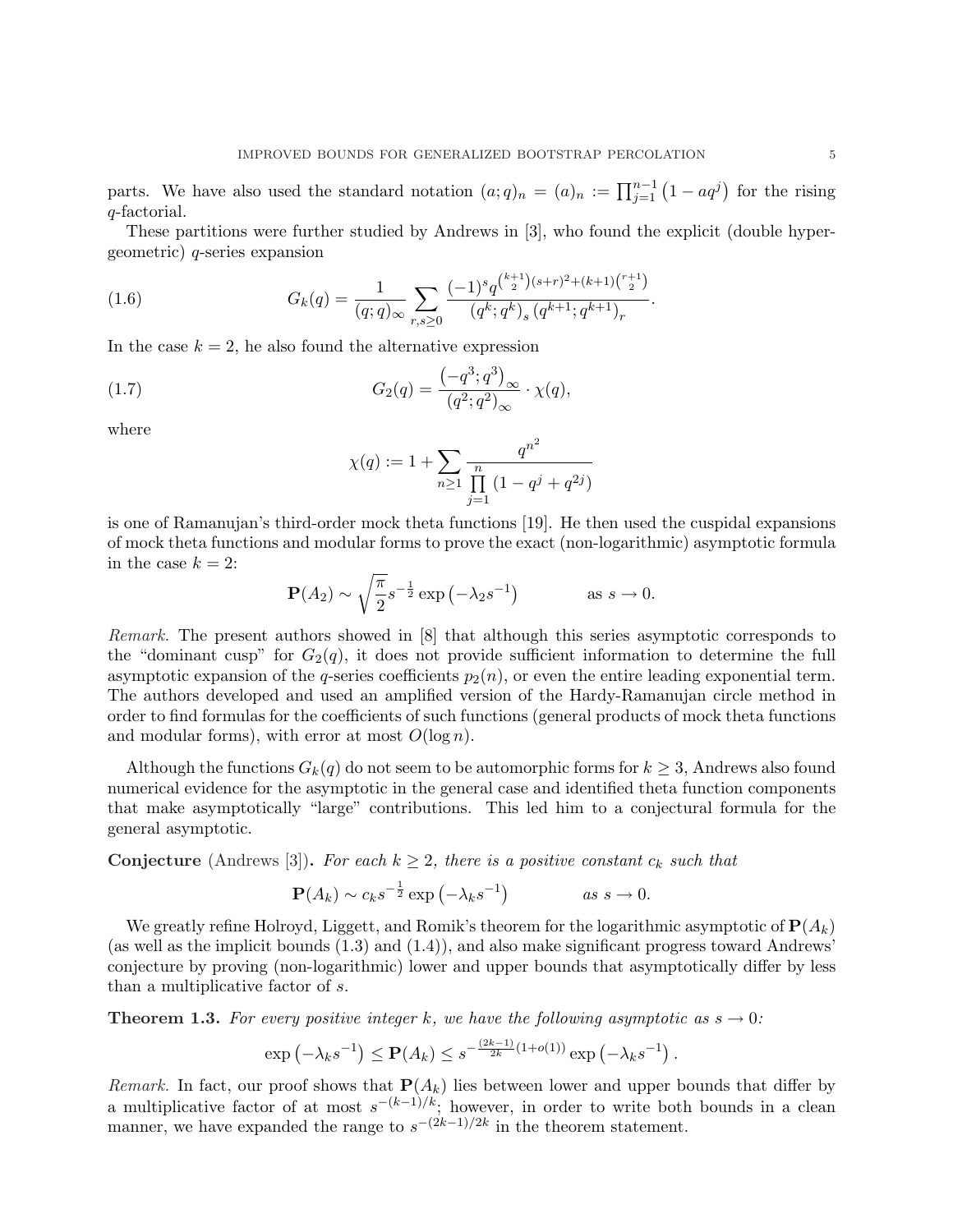parts. We have also used the standard notation  $(a;q)_n = (a)_n := \prod_{j=1}^{n-1} (1 - aq^j)$ for the rising q-factorial.

These partitions were further studied by Andrews in [3], who found the explicit (double hypergeometric) q-series expansion

(1.6) 
$$
G_k(q) = \frac{1}{(q;q)_{\infty}} \sum_{r,s \geq 0} \frac{(-1)^s q^{\binom{k+1}{2}(s+r)^2 + (k+1)\binom{r+1}{2}}}{(q^k;q^k)_s (q^{k+1};q^{k+1})_r}.
$$

In the case  $k = 2$ , he also found the alternative expression

(1.7) 
$$
G_2(q) = \frac{\left(-q^3; q^3\right)_{\infty}}{\left(q^2; q^2\right)_{\infty}} \cdot \chi(q),
$$

where

$$
\chi(q) := 1 + \sum_{n \ge 1} \frac{q^{n^2}}{\prod_{j=1}^n (1 - q^j + q^{2j})}
$$

is one of Ramanujan's third-order mock theta functions [19]. He then used the cuspidal expansions of mock theta functions and modular forms to prove the exact (non-logarithmic) asymptotic formula in the case  $k = 2$ : r

$$
\mathbf{P}(A_2) \sim \sqrt{\frac{\pi}{2}} s^{-\frac{1}{2}} \exp\left(-\lambda_2 s^{-1}\right) \qquad \text{as } s \to 0.
$$

Remark. The present authors showed in [8] that although this series asymptotic corresponds to the "dominant cusp" for  $G_2(q)$ , it does not provide sufficient information to determine the full asymptotic expansion of the q-series coefficients  $p_2(n)$ , or even the entire leading exponential term. The authors developed and used an amplified version of the Hardy-Ramanujan circle method in order to find formulas for the coefficients of such functions (general products of mock theta functions and modular forms), with error at most  $O(\log n)$ .

Although the functions  $G_k(q)$  do not seem to be automorphic forms for  $k \geq 3$ , Andrews also found numerical evidence for the asymptotic in the general case and identified theta function components that make asymptotically "large" contributions. This led him to a conjectural formula for the general asymptotic.

**Conjecture** (Andrews [3]). For each  $k \geq 2$ , there is a positive constant  $c_k$  such that

$$
\mathbf{P}(A_k) \sim c_k s^{-\frac{1}{2}} \exp\left(-\lambda_k s^{-1}\right) \qquad \text{as } s \to 0.
$$

We greatly refine Holroyd, Liggett, and Romik's theorem for the logarithmic asymptotic of  $\mathbf{P}(A_k)$ (as well as the implicit bounds (1.3) and (1.4)), and also make significant progress toward Andrews' conjecture by proving (non-logarithmic) lower and upper bounds that asymptotically differ by less than a multiplicative factor of s.

**Theorem 1.3.** For every positive integer k, we have the following asymptotic as  $s \to 0$ :

$$
\exp\left(-\lambda_k s^{-1}\right) \le \mathbf{P}(A_k) \le s^{-\frac{(2k-1)}{2k}(1+o(1))}\exp\left(-\lambda_k s^{-1}\right).
$$

Remark. In fact, our proof shows that  $P(A_k)$  lies between lower and upper bounds that differ by a multiplicative factor of at most  $s^{-(k-1)/k}$ ; however, in order to write both bounds in a clean manner, we have expanded the range to  $s^{-(2k-1)/2k}$  in the theorem statement.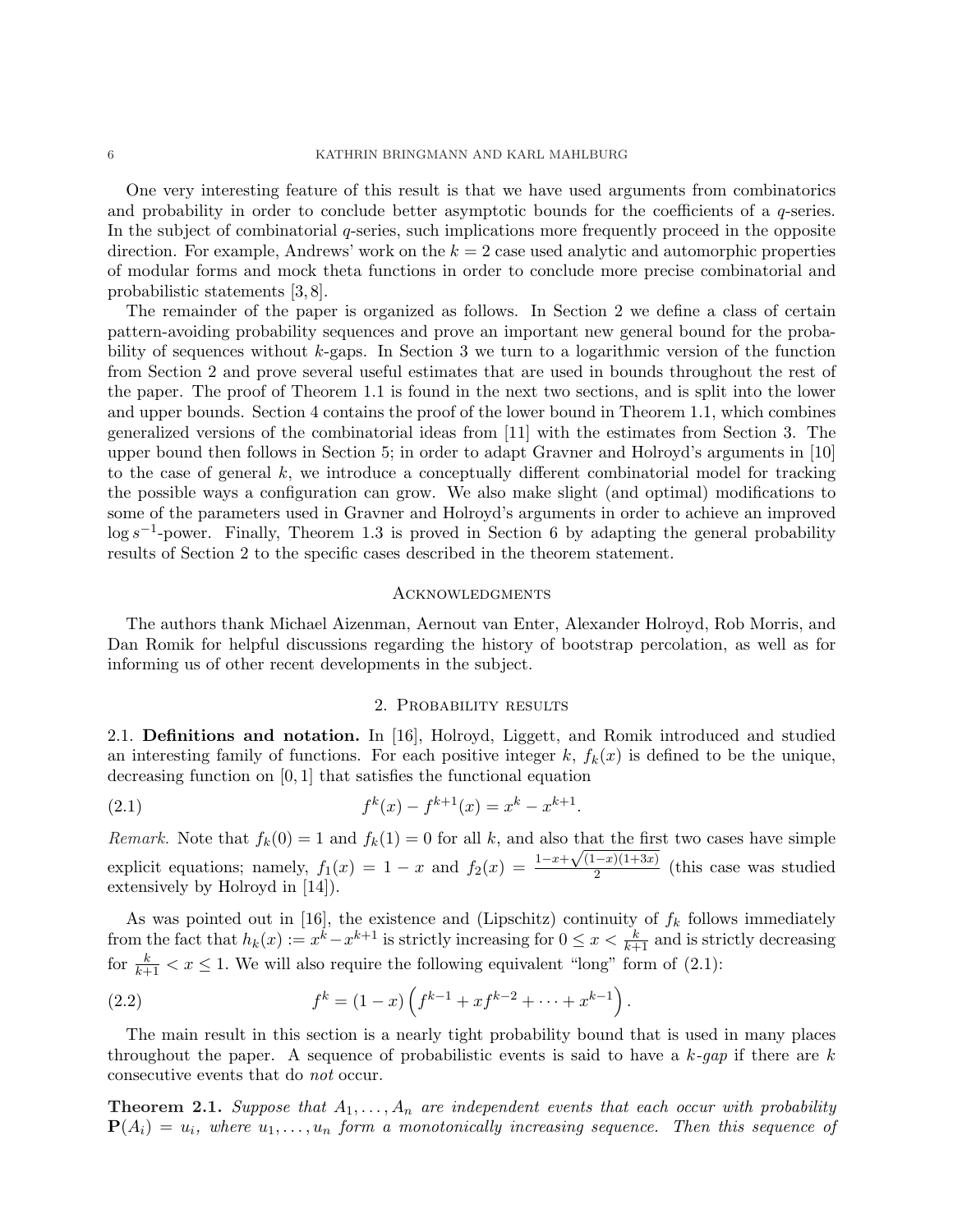One very interesting feature of this result is that we have used arguments from combinatorics and probability in order to conclude better asymptotic bounds for the coefficients of a  $q$ -series. In the subject of combinatorial q-series, such implications more frequently proceed in the opposite direction. For example, Andrews' work on the  $k = 2$  case used analytic and automorphic properties of modular forms and mock theta functions in order to conclude more precise combinatorial and probabilistic statements [3, 8].

The remainder of the paper is organized as follows. In Section 2 we define a class of certain pattern-avoiding probability sequences and prove an important new general bound for the probability of sequences without k-gaps. In Section 3 we turn to a logarithmic version of the function from Section 2 and prove several useful estimates that are used in bounds throughout the rest of the paper. The proof of Theorem 1.1 is found in the next two sections, and is split into the lower and upper bounds. Section 4 contains the proof of the lower bound in Theorem 1.1, which combines generalized versions of the combinatorial ideas from [11] with the estimates from Section 3. The upper bound then follows in Section 5; in order to adapt Gravner and Holroyd's arguments in [10] to the case of general  $k$ , we introduce a conceptually different combinatorial model for tracking the possible ways a configuration can grow. We also make slight (and optimal) modifications to some of the parameters used in Gravner and Holroyd's arguments in order to achieve an improved  $\log s^{-1}$ -power. Finally, Theorem 1.3 is proved in Section 6 by adapting the general probability results of Section 2 to the specific cases described in the theorem statement.

#### Acknowledgments

The authors thank Michael Aizenman, Aernout van Enter, Alexander Holroyd, Rob Morris, and Dan Romik for helpful discussions regarding the history of bootstrap percolation, as well as for informing us of other recent developments in the subject.

## 2. PROBABILITY RESULTS

2.1. Definitions and notation. In [16], Holroyd, Liggett, and Romik introduced and studied an interesting family of functions. For each positive integer k,  $f_k(x)$  is defined to be the unique, decreasing function on [0, 1] that satisfies the functional equation

(2.1) 
$$
f^{k}(x) - f^{k+1}(x) = x^{k} - x^{k+1}.
$$

Remark. Note that  $f_k(0) = 1$  and  $f_k(1) = 0$  for all k, and also that the first two cases have simple explicit equations; namely,  $f_1(x) = 1 - x$  and  $f_2(x) = \frac{1-x+1}{x+1}$  $\frac{\text{that the} \text{ first}}{\sqrt{(1-x)(1+3x)}}$  $\frac{(-x)(1+3x)}{2}$  (this case was studied extensively by Holroyd in [14]).

As was pointed out in [16], the existence and (Lipschitz) continuity of  $f_k$  follows immediately from the fact that  $h_k(x) := x^k - x^{k+1}$  is strictly increasing for  $0 \le x < \frac{k}{k+1}$  and is strictly decreasing for  $\frac{k}{k+1} < x \le 1$ . We will also require the following equivalent "long" form of (2.1):

(2.2) 
$$
f^{k} = (1-x)\left(f^{k-1} + xf^{k-2} + \cdots + x^{k-1}\right).
$$

The main result in this section is a nearly tight probability bound that is used in many places throughout the paper. A sequence of probabilistic events is said to have a  $k$ -gap if there are k consecutive events that do not occur.

**Theorem 2.1.** Suppose that  $A_1, \ldots, A_n$  are independent events that each occur with probability  $\mathbf{P}(A_i) = u_i$ , where  $u_1, \ldots, u_n$  form a monotonically increasing sequence. Then this sequence of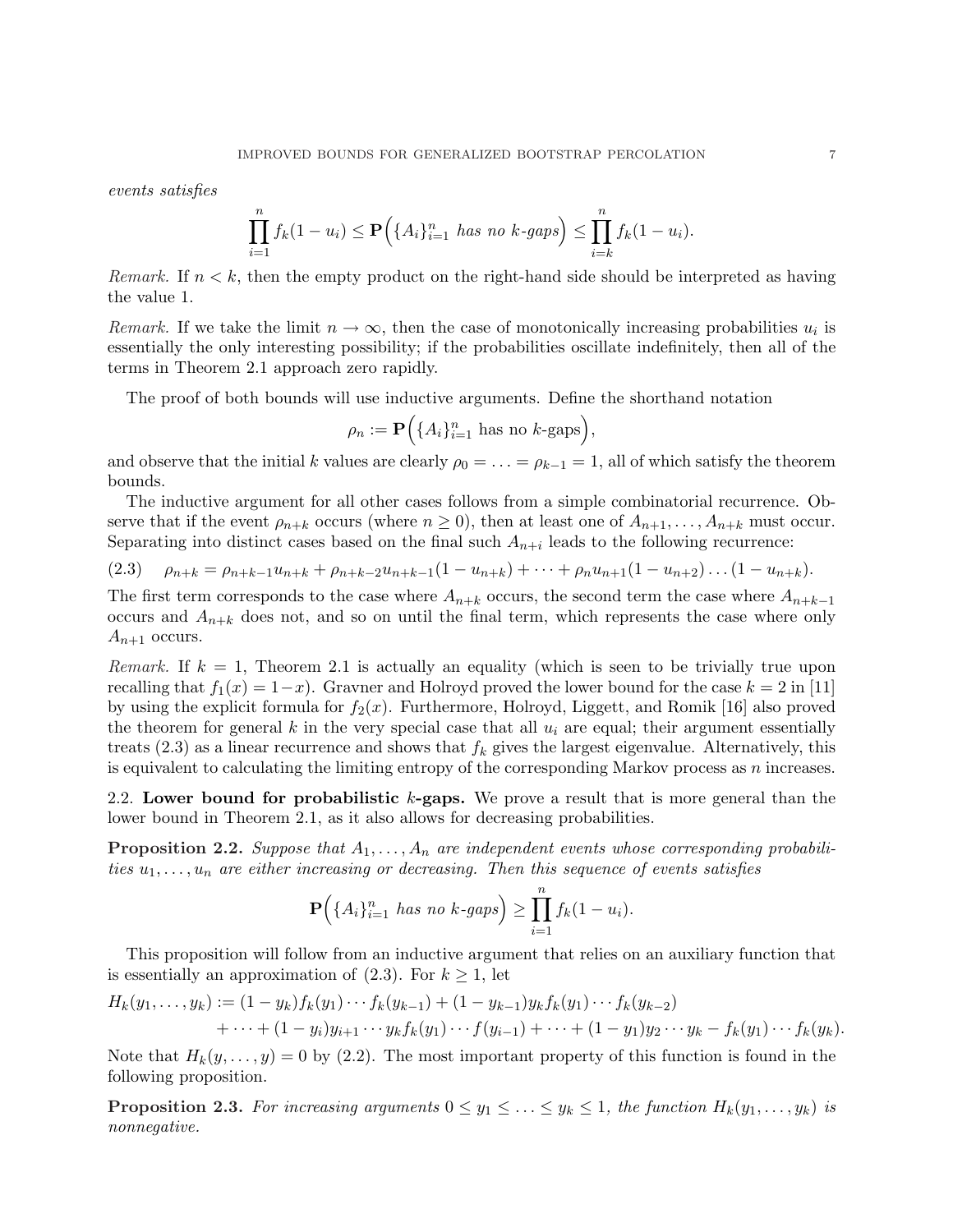events satisfies

$$
\prod_{i=1}^{n} f_k(1 - u_i) \le \mathbf{P}\Big(\{A_i\}_{i=1}^{n} \text{ has no } k\text{-gaps}\Big) \le \prod_{i=k}^{n} f_k(1 - u_i).
$$

*Remark.* If  $n < k$ , then the empty product on the right-hand side should be interpreted as having the value 1.

Remark. If we take the limit  $n \to \infty$ , then the case of monotonically increasing probabilities  $u_i$  is essentially the only interesting possibility; if the probabilities oscillate indefinitely, then all of the terms in Theorem 2.1 approach zero rapidly.

The proof of both bounds will use inductive arguments. Define the shorthand notation  $\ddot{\phantom{0}}$ 

$$
\rho_n := \mathbf{P}\Big(\{A_i\}_{i=1}^n \text{ has no } k\text{-gaps}\Big),\,
$$

and observe that the initial k values are clearly  $\rho_0 = \ldots = \rho_{k-1} = 1$ , all of which satisfy the theorem bounds.

The inductive argument for all other cases follows from a simple combinatorial recurrence. Observe that if the event  $\rho_{n+k}$  occurs (where  $n \geq 0$ ), then at least one of  $A_{n+1}, \ldots, A_{n+k}$  must occur. Separating into distinct cases based on the final such  $A_{n+i}$  leads to the following recurrence:

$$
(2.3) \quad \rho_{n+k} = \rho_{n+k-1} u_{n+k} + \rho_{n+k-2} u_{n+k-1} (1 - u_{n+k}) + \cdots + \rho_n u_{n+1} (1 - u_{n+2}) \ldots (1 - u_{n+k}).
$$

The first term corresponds to the case where  $A_{n+k}$  occurs, the second term the case where  $A_{n+k-1}$ occurs and  $A_{n+k}$  does not, and so on until the final term, which represents the case where only  $A_{n+1}$  occurs.

Remark. If  $k = 1$ , Theorem 2.1 is actually an equality (which is seen to be trivially true upon recalling that  $f_1(x) = 1-x$ . Gravner and Holroyd proved the lower bound for the case  $k = 2$  in [11] by using the explicit formula for  $f_2(x)$ . Furthermore, Holroyd, Liggett, and Romik [16] also proved the theorem for general k in the very special case that all  $u_i$  are equal; their argument essentially treats (2.3) as a linear recurrence and shows that  $f_k$  gives the largest eigenvalue. Alternatively, this is equivalent to calculating the limiting entropy of the corresponding Markov process as  $n$  increases.

2.2. Lower bound for probabilistic  $k$ -gaps. We prove a result that is more general than the lower bound in Theorem 2.1, as it also allows for decreasing probabilities.

**Proposition 2.2.** Suppose that  $A_1, \ldots, A_n$  are independent events whose corresponding probabilities  $u_1, \ldots, u_n$  are either increasing or decreasing. Then this sequence of events satisfies

$$
\mathbf{P}(\{A_i\}_{i=1}^n \text{ has no } k\text{-}gaps) \geq \prod_{i=1}^n f_k(1-u_i).
$$

This proposition will follow from an inductive argument that relies on an auxiliary function that is essentially an approximation of  $(2.3)$ . For  $k \geq 1$ , let

$$
H_k(y_1,\ldots,y_k) := (1-y_k)f_k(y_1)\cdots f_k(y_{k-1}) + (1-y_{k-1})y_kf_k(y_1)\cdots f_k(y_{k-2})
$$
  
+ \cdots + (1-y\_i)y\_{i+1}\cdots y\_kf\_k(y\_1)\cdots f(y\_{i-1}) + \cdots + (1-y\_1)y\_2\cdots y\_k - f\_k(y\_1)\cdots f\_k(y\_k).

Note that  $H_k(y, \ldots, y) = 0$  by (2.2). The most important property of this function is found in the following proposition.

**Proposition 2.3.** For increasing arguments  $0 \le y_1 \le \ldots \le y_k \le 1$ , the function  $H_k(y_1, \ldots, y_k)$  is nonnegative.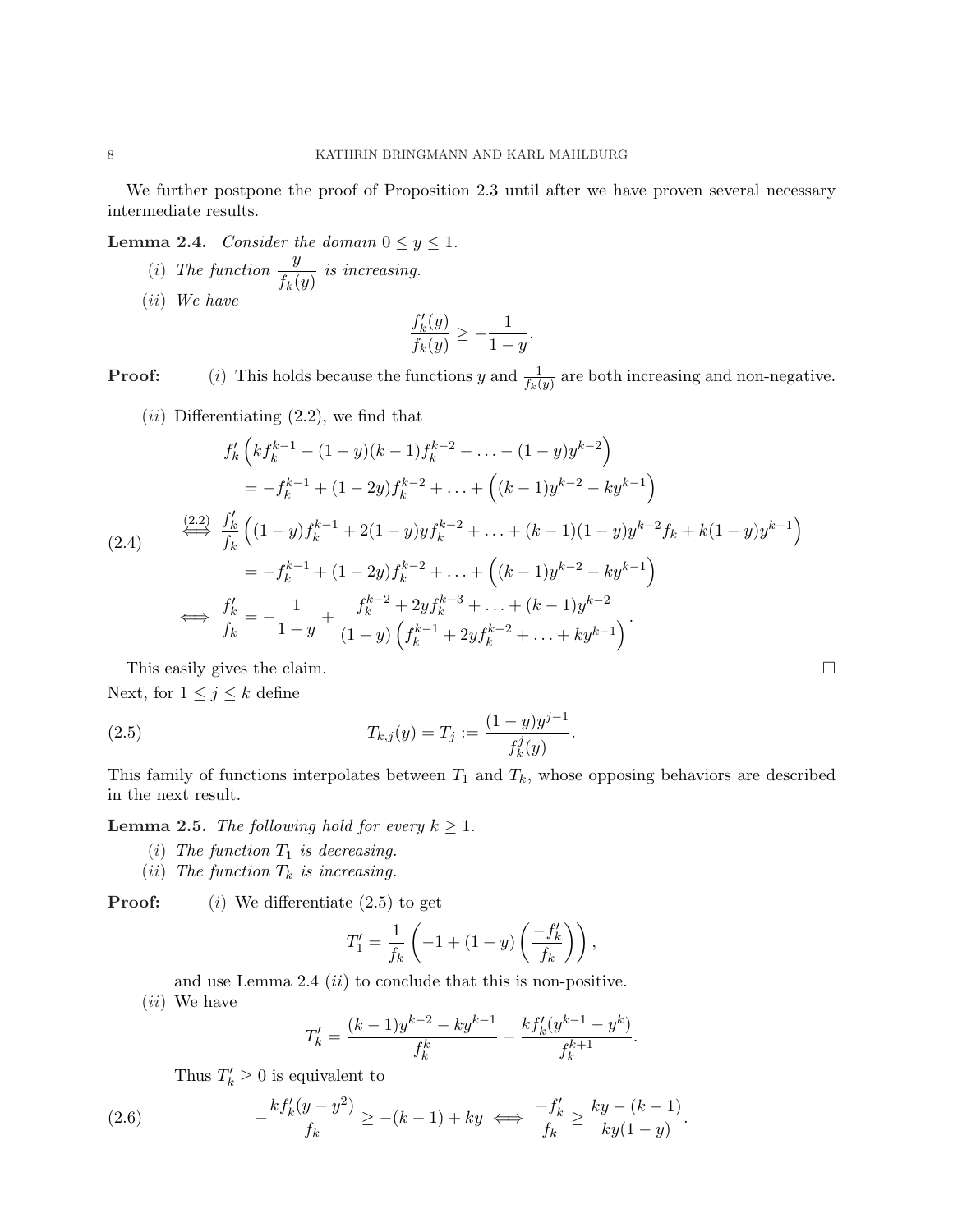We further postpone the proof of Proposition 2.3 until after we have proven several necessary intermediate results.

**Lemma 2.4.** Consider the domain  $0 \le y \le 1$ .

(i) The function  $\frac{y}{f}$  $\frac{g}{f_k(y)}$  is increasing. (ii) We have

$$
\frac{f'_k(y)}{f_k(y)} \ge -\frac{1}{1-y}.
$$

**Proof:** (i) This holds because the functions y and  $\frac{1}{f_k(y)}$  are both increasing and non-negative.

 $(ii)$  Differentiating  $(2.2)$ , we find that

$$
f'_{k}\left(kf_{k}^{k-1} - (1-y)(k-1)f_{k}^{k-2} - \dots - (1-y)y^{k-2}\right)
$$
  
=  $-f_{k}^{k-1} + (1-2y)f_{k}^{k-2} + \dots + \left((k-1)y^{k-2} - ky^{k-1}\right)$   

$$
\stackrel{\text{(2.2)}}{\longleftrightarrow} \frac{f'_{k}}{f_{k}}\left((1-y)f_{k}^{k-1} + 2(1-y)yf_{k}^{k-2} + \dots + (k-1)(1-y)y^{k-2}f_{k} + k(1-y)y^{k-1}\right)
$$
  
=  $-f_{k}^{k-1} + (1-2y)f_{k}^{k-2} + \dots + \left((k-1)y^{k-2} - ky^{k-1}\right)$   

$$
\stackrel{\text{(2.4)}}{\longleftrightarrow} \frac{f'_{k}}{f_{k}} = -\frac{1}{1-y} + \frac{f_{k}^{k-2} + 2yf_{k}^{k-3} + \dots + (k-1)y^{k-2}}{(1-y)\left(f_{k}^{k-1} + 2yf_{k}^{k-2} + \dots + ky^{k-1}\right)}.
$$

This easily gives the claim.  $\Box$ Next, for  $1 \leq j \leq k$  define

(2.5) 
$$
T_{k,j}(y) = T_j := \frac{(1-y)y^{j-1}}{f_k^j(y)}.
$$

This family of functions interpolates between  $T_1$  and  $T_k$ , whose opposing behaviors are described in the next result.

**Lemma 2.5.** The following hold for every  $k \geq 1$ .

- (i) The function  $T_1$  is decreasing.
- (ii) The function  $T_k$  is increasing.

**Proof:** (i) We differentiate  $(2.5)$  to get

$$
T_1' = \frac{1}{f_k} \left( -1 + (1 - y) \left( \frac{-f'_k}{f_k} \right) \right),
$$

and use Lemma 2.4  $(ii)$  to conclude that this is non-positive. (ii) We have

$$
T'_{k} = \frac{(k-1)y^{k-2} - ky^{k-1}}{f_{k}^{k}} - \frac{kf'_{k}(y^{k-1} - y^{k})}{f_{k}^{k+1}}.
$$

Thus  $T'_k \geq 0$  is equivalent to

(2.6) 
$$
-\frac{k f'_k (y - y^2)}{f_k} \ge -(k - 1) + ky \iff \frac{-f'_k}{f_k} \ge \frac{ky - (k - 1)}{ky(1 - y)}.
$$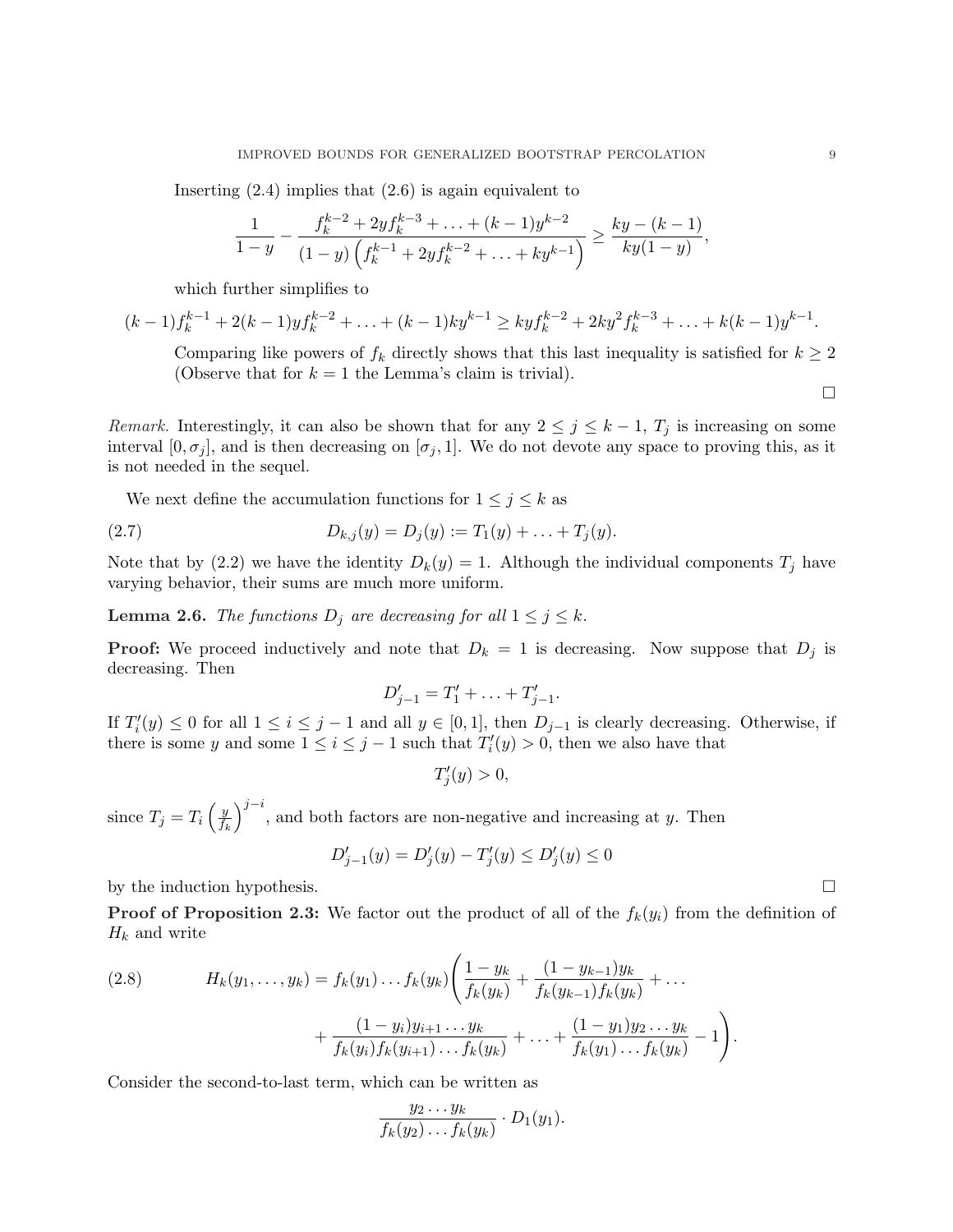Inserting  $(2.4)$  implies that  $(2.6)$  is again equivalent to

$$
\frac{1}{1-y} - \frac{f_k^{k-2} + 2yf_k^{k-3} + \ldots + (k-1)y^{k-2}}{(1-y)\left(f_k^{k-1} + 2yf_k^{k-2} + \ldots + ky^{k-1}\right)} \ge \frac{ky - (k-1)}{ky(1-y)},
$$

which further simplifies to

$$
(k-1)f_k^{k-1} + 2(k-1)yf_k^{k-2} + \ldots + (k-1)ky^{k-1} \geq kyf_k^{k-2} + 2ky^2f_k^{k-3} + \ldots + k(k-1)y^{k-1}.
$$

Comparing like powers of  $f_k$  directly shows that this last inequality is satisfied for  $k \geq 2$ (Observe that for  $k = 1$  the Lemma's claim is trivial).

Remark. Interestingly, it can also be shown that for any  $2 \leq j \leq k-1$ ,  $T_j$  is increasing on some interval  $[0, \sigma_j]$ , and is then decreasing on  $[\sigma_j, 1]$ . We do not devote any space to proving this, as it is not needed in the sequel.

We next define the accumulation functions for  $1 \leq j \leq k$  as

(2.7) 
$$
D_{k,j}(y) = D_j(y) := T_1(y) + \ldots + T_j(y).
$$

Note that by (2.2) we have the identity  $D_k(y) = 1$ . Although the individual components  $T_j$  have varying behavior, their sums are much more uniform.

**Lemma 2.6.** The functions  $D_j$  are decreasing for all  $1 \leq j \leq k$ .

**Proof:** We proceed inductively and note that  $D_k = 1$  is decreasing. Now suppose that  $D_j$  is decreasing. Then

$$
D'_{j-1} = T'_1 + \ldots + T'_{j-1}.
$$

If  $T_i'(y) \leq 0$  for all  $1 \leq i \leq j-1$  and all  $y \in [0,1]$ , then  $D_{j-1}$  is clearly decreasing. Otherwise, if there is some y and some  $1 \leq i \leq j-1$  such that  $T_i'(y) > 0$ , then we also have that

$$
T_j'(y) > 0,
$$

since  $T_j = T_i$  $\sqrt{y}$  $\overline{f_k}$  $\sqrt{j-i}$ , and both factors are non-negative and increasing at y. Then

$$
D'_{j-1}(y) = D'_j(y) - T'_j(y) \le D'_j(y) \le 0
$$

by the induction hypothesis.  $\Box$ 

**Proof of Proposition 2.3:** We factor out the product of all of the  $f_k(y_i)$  from the definition of  $H_k$  and write

(2.8) 
$$
H_k(y_1,\ldots,y_k) = f_k(y_1)\ldots f_k(y_k) \left( \frac{1-y_k}{f_k(y_k)} + \frac{(1-y_{k-1})y_k}{f_k(y_{k-1})f_k(y_k)} + \ldots + \frac{(1-y_i)y_{i+1}\ldots y_k}{f_k(y_i)f_k(y_{i+1})\ldots f_k(y_k)} + \ldots + \frac{(1-y_1)y_2\ldots y_k}{f_k(y_1)\ldots f_k(y_k)} - 1 \right).
$$

Consider the second-to-last term, which can be written as

$$
\frac{y_2 \dots y_k}{f_k(y_2) \dots f_k(y_k)} \cdot D_1(y_1).
$$

 $\Box$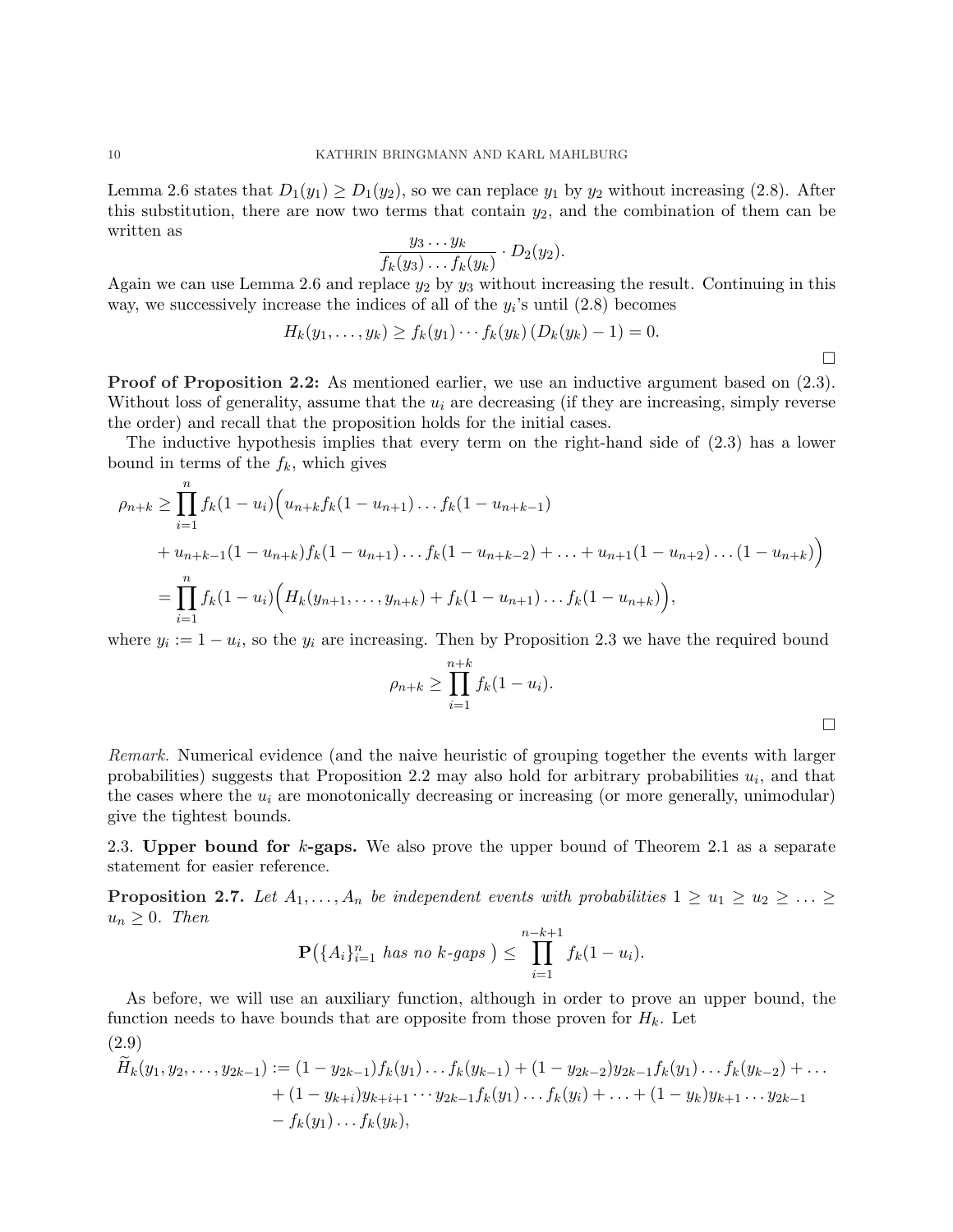Lemma 2.6 states that  $D_1(y_1) \ge D_1(y_2)$ , so we can replace  $y_1$  by  $y_2$  without increasing (2.8). After this substitution, there are now two terms that contain  $y_2$ , and the combination of them can be written as

$$
\frac{y_3 \dots y_k}{f_k(y_3) \dots f_k(y_k)} \cdot D_2(y_2).
$$

Again we can use Lemma 2.6 and replace  $y_2$  by  $y_3$  without increasing the result. Continuing in this way, we successively increase the indices of all of the  $y_i$ 's until  $(2.8)$  becomes

$$
H_k(y_1,\ldots,y_k)\geq f_k(y_1)\cdots f_k(y_k)\left(D_k(y_k)-1\right)=0.
$$

Proof of Proposition 2.2: As mentioned earlier, we use an inductive argument based on  $(2.3)$ . Without loss of generality, assume that the  $u_i$  are decreasing (if they are increasing, simply reverse the order) and recall that the proposition holds for the initial cases.

The inductive hypothesis implies that every term on the right-hand side of (2.3) has a lower bound in terms of the  $f_k$ , which gives

$$
\rho_{n+k} \geq \prod_{i=1}^{n} f_k (1 - u_i) \Big( u_{n+k} f_k (1 - u_{n+1}) \dots f_k (1 - u_{n+k-1})
$$
  
+ 
$$
u_{n+k-1} (1 - u_{n+k}) f_k (1 - u_{n+1}) \dots f_k (1 - u_{n+k-2}) + \dots + u_{n+1} (1 - u_{n+2}) \dots (1 - u_{n+k}) \Big)
$$
  
= 
$$
\prod_{i=1}^{n} f_k (1 - u_i) \Big( H_k (y_{n+1}, \dots, y_{n+k}) + f_k (1 - u_{n+1}) \dots f_k (1 - u_{n+k}) \Big),
$$

where  $y_i := 1 - u_i$ , so the  $y_i$  are increasing. Then by Proposition 2.3 we have the required bound

$$
\rho_{n+k} \geq \prod_{i=1}^{n+k} f_k(1-u_i).
$$

 $\Box$ 

Remark. Numerical evidence (and the naive heuristic of grouping together the events with larger probabilities) suggests that Proposition 2.2 may also hold for arbitrary probabilities  $u_i$ , and that the cases where the  $u_i$  are monotonically decreasing or increasing (or more generally, unimodular) give the tightest bounds.

2.3. Upper bound for  $k$ -gaps. We also prove the upper bound of Theorem 2.1 as a separate statement for easier reference.

**Proposition 2.7.** Let  $A_1, \ldots, A_n$  be independent events with probabilities  $1 \ge u_1 \ge u_2 \ge \ldots \ge u_n$  $u_n \geq 0$ . Then

$$
\mathbf{P}(\{A_i\}_{i=1}^n \text{ has no } k\text{-gaps}) \leq \prod_{i=1}^{n-k+1} f_k(1-u_i).
$$

As before, we will use an auxiliary function, although in order to prove an upper bound, the function needs to have bounds that are opposite from those proven for  $H_k$ . Let (2.9)

$$
\widetilde{H}_k(y_1, y_2, \dots, y_{2k-1}) := (1 - y_{2k-1})f_k(y_1)\dots f_k(y_{k-1}) + (1 - y_{2k-2})y_{2k-1}f_k(y_1)\dots f_k(y_{k-2}) + \dots \n+ (1 - y_{k+i})y_{k+i+1}\dots y_{2k-1}f_k(y_1)\dots f_k(y_i) + \dots + (1 - y_k)y_{k+1}\dots y_{2k-1} \n- f_k(y_1)\dots f_k(y_k),
$$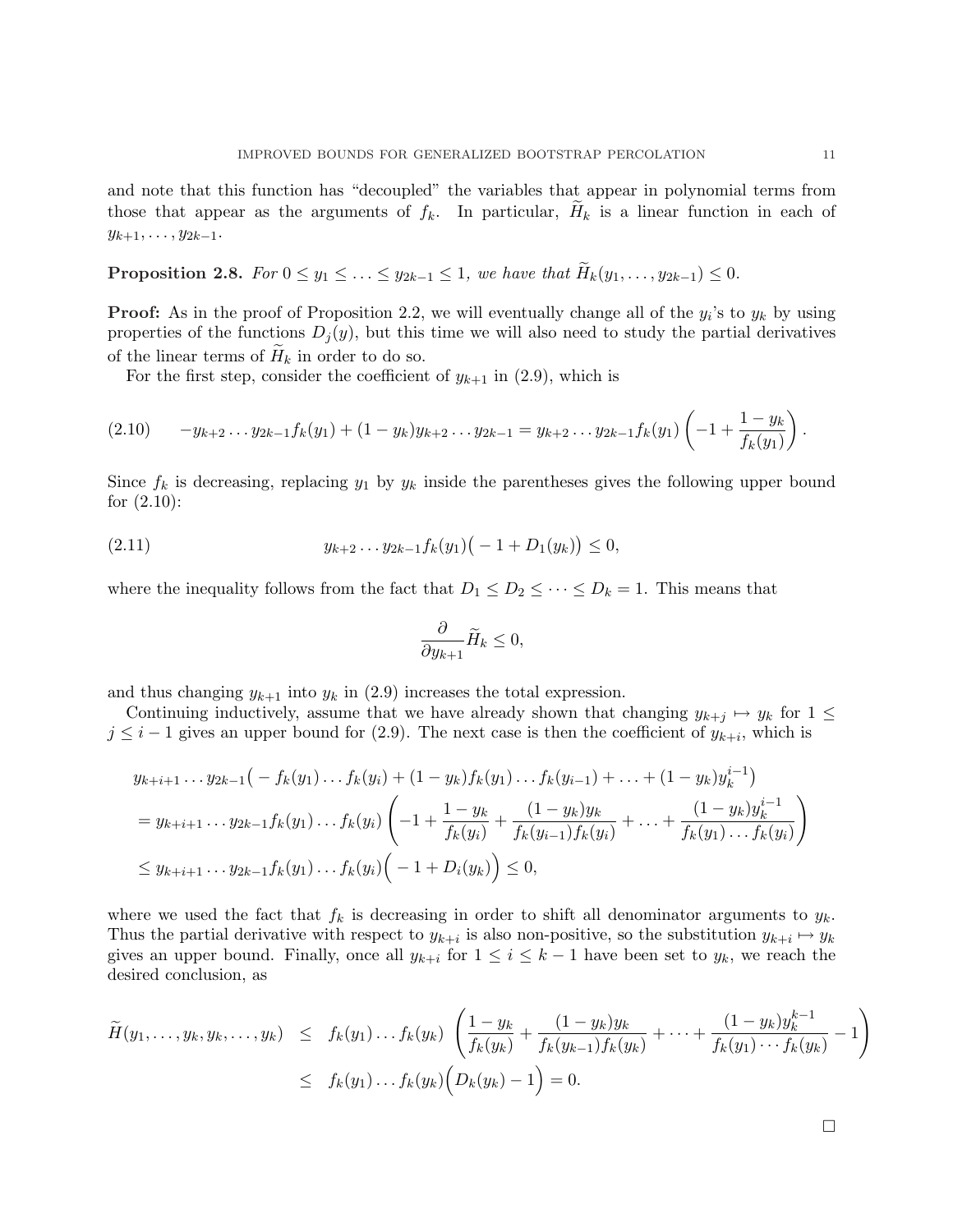and note that this function has "decoupled" the variables that appear in polynomial terms from those that appear as the arguments of  $f_k$ . In particular,  $H_k$  is a linear function in each of  $y_{k+1}, \ldots, y_{2k-1}.$ 

**Proposition 2.8.** For  $0 \le y_1 \le \ldots \le y_{2k-1} \le 1$ , we have that  $\widetilde{H}_k(y_1,\ldots,y_{2k-1}) \le 0$ .

**Proof:** As in the proof of Proposition 2.2, we will eventually change all of the  $y_i$ 's to  $y_k$  by using properties of the functions  $D_i(y)$ , but this time we will also need to study the partial derivatives of the linear terms of  $H_k$  in order to do so.

For the first step, consider the coefficient of  $y_{k+1}$  in (2.9), which is

$$
(2.10) \t-y_{k+2}...y_{2k-1}f_k(y_1)+(1-y_k)y_{k+2}...y_{2k-1}=y_{k+2}...y_{2k-1}f_k(y_1)\left(-1+\frac{1-y_k}{f_k(y_1)}\right).
$$

Since  $f_k$  is decreasing, replacing  $y_1$  by  $y_k$  inside the parentheses gives the following upper bound for  $(2.10)$ :

(2.11) 
$$
y_{k+2} \dots y_{2k-1} f_k(y_1) \big( -1 + D_1(y_k) \big) \leq 0,
$$

where the inequality follows from the fact that  $D_1 \leq D_2 \leq \cdots \leq D_k = 1$ . This means that

$$
\frac{\partial}{\partial y_{k+1}}\widetilde{H}_k\leq 0,
$$

and thus changing  $y_{k+1}$  into  $y_k$  in (2.9) increases the total expression.

Continuing inductively, assume that we have already shown that changing  $y_{k+j} \mapsto y_k$  for  $1 \leq$  $j \leq i-1$  gives an upper bound for (2.9). The next case is then the coefficient of  $y_{k+i}$ , which is

$$
y_{k+i+1} \dots y_{2k-1}(-f_k(y_1) \dots f_k(y_i) + (1 - y_k)f_k(y_1) \dots f_k(y_{i-1}) + \dots + (1 - y_k)y_k^{i-1})
$$
  
=  $y_{k+i+1} \dots y_{2k-1}f_k(y_1) \dots f_k(y_i) \left( -1 + \frac{1 - y_k}{f_k(y_i)} + \frac{(1 - y_k)y_k}{f_k(y_{i-1})f_k(y_i)} + \dots + \frac{(1 - y_k)y_k^{i-1}}{f_k(y_1) \dots f_k(y_i)} \right)$   
 $\le y_{k+i+1} \dots y_{2k-1}f_k(y_1) \dots f_k(y_i) \left( -1 + D_i(y_k) \right) \le 0,$ 

where we used the fact that  $f_k$  is decreasing in order to shift all denominator arguments to  $y_k$ . Thus the partial derivative with respect to  $y_{k+i}$  is also non-positive, so the substitution  $y_{k+i} \mapsto y_k$ gives an upper bound. Finally, once all  $y_{k+i}$  for  $1 \leq i \leq k-1$  have been set to  $y_k$ , we reach the desired conclusion, as

$$
\widetilde{H}(y_1,\ldots,y_k,y_k,\ldots,y_k) \leq f_k(y_1)\ldots f_k(y_k) \left(\frac{1-y_k}{f_k(y_k)} + \frac{(1-y_k)y_k}{f_k(y_{k-1})f_k(y_k)} + \cdots + \frac{(1-y_k)y_k^{k-1}}{f_k(y_1)\cdots f_k(y_k)} - 1\right)
$$
\n
$$
\leq f_k(y_1)\ldots f_k(y_k) \left(D_k(y_k) - 1\right) = 0.
$$

¤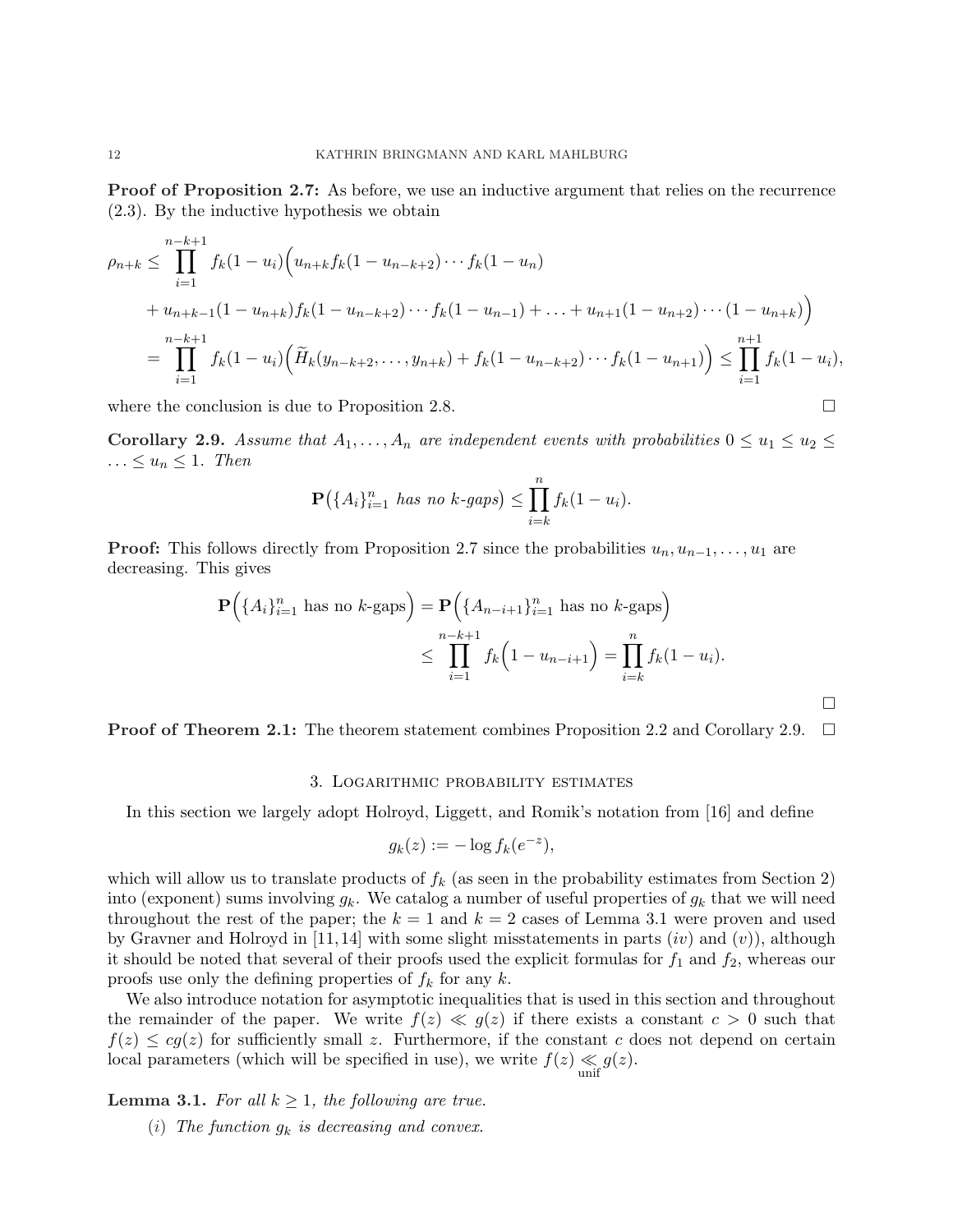Proof of Proposition 2.7: As before, we use an inductive argument that relies on the recurrence (2.3). By the inductive hypothesis we obtain

$$
\rho_{n+k} \leq \prod_{i=1}^{n-k+1} f_k(1-u_i) \Big( u_{n+k} f_k(1-u_{n-k+2}) \cdots f_k(1-u_n) + u_{n+k-1} (1-u_{n+k}) f_k(1-u_{n-k+2}) \cdots f_k(1-u_{n-1}) + \ldots + u_{n+1} (1-u_{n+2}) \cdots (1-u_{n+k}) \Big)
$$
  
= 
$$
\prod_{i=1}^{n-k+1} f_k(1-u_i) \Big( \widetilde{H}_k(y_{n-k+2}, \ldots, y_{n+k}) + f_k(1-u_{n-k+2}) \cdots f_k(1-u_{n+1}) \Big) \leq \prod_{i=1}^{n+1} f_k(1-u_i),
$$

where the conclusion is due to Proposition 2.8.  $\Box$ 

Corollary 2.9. Assume that  $A_1, \ldots, A_n$  are independent events with probabilities  $0 \le u_1 \le u_2 \le$  $\ldots \leq u_n \leq 1$ . Then

$$
\mathbf{P}(\{A_i\}_{i=1}^n \text{ has no } k\text{-gaps}) \leq \prod_{i=k}^n f_k(1-u_i).
$$

**Proof:** This follows directly from Proposition 2.7 since the probabilities  $u_n, u_{n-1}, \ldots, u_1$  are decreasing. This gives

$$
\mathbf{P}(\{A_i\}_{i=1}^n \text{ has no } k\text{-gaps}) = \mathbf{P}(\{A_{n-i+1}\}_{i=1}^n \text{ has no } k\text{-gaps})
$$
  

$$
\leq \prod_{i=1}^{n-k+1} f_k(1 - u_{n-i+1}) = \prod_{i=k}^n f_k(1 - u_i).
$$

**Proof of Theorem 2.1:** The theorem statement combines Proposition 2.2 and Corollary 2.9.  $\Box$ 

### 3. Logarithmic probability estimates

In this section we largely adopt Holroyd, Liggett, and Romik's notation from [16] and define

$$
g_k(z) := -\log f_k(e^{-z}),
$$

which will allow us to translate products of  $f_k$  (as seen in the probability estimates from Section 2) into (exponent) sums involving  $g_k$ . We catalog a number of useful properties of  $g_k$  that we will need throughout the rest of the paper; the  $k = 1$  and  $k = 2$  cases of Lemma 3.1 were proven and used by Gravner and Holroyd in [11, 14] with some slight misstatements in parts  $(iv)$  and  $(v)$ ), although it should be noted that several of their proofs used the explicit formulas for  $f_1$  and  $f_2$ , whereas our proofs use only the defining properties of  $f_k$  for any k.

We also introduce notation for asymptotic inequalities that is used in this section and throughout the remainder of the paper. We write  $f(z) \ll g(z)$  if there exists a constant  $c > 0$  such that  $f(z) \le cg(z)$  for sufficiently small z. Furthermore, if the constant c does not depend on certain local parameters (which will be specified in use), we write  $f(z) \ll g(z)$ .

**Lemma 3.1.** For all  $k \geq 1$ , the following are true.

(i) The function  $g_k$  is decreasing and convex.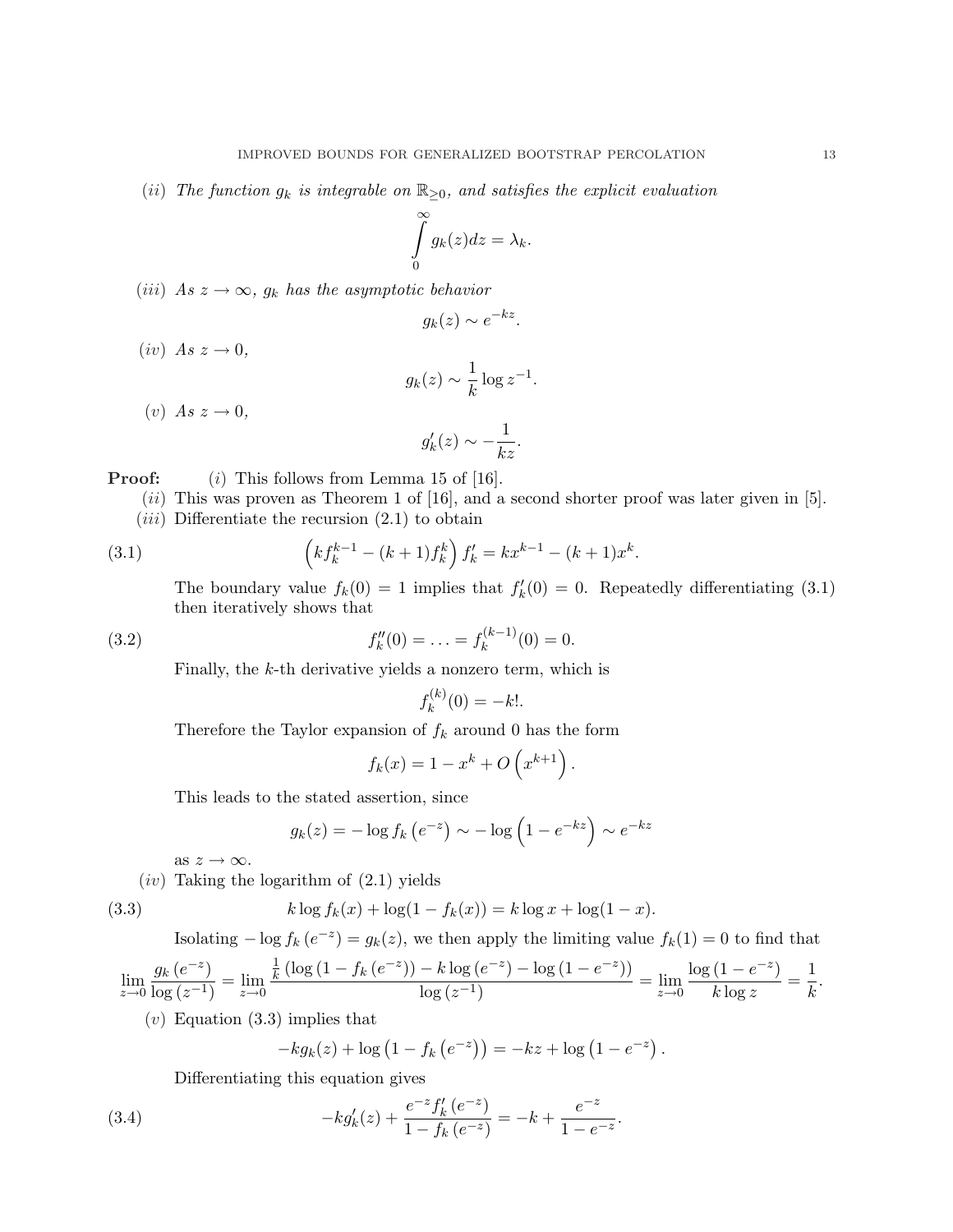(ii) The function  $g_k$  is integrable on  $\mathbb{R}_{\geq 0}$ , and satisfies the explicit evaluation

$$
\int_{0}^{\infty} g_k(z) dz = \lambda_k.
$$

(iii) As  $z \to \infty$ ,  $g_k$  has the asymptotic behavior

$$
g_k(z) \sim e^{-kz}.
$$

 $(iv)$  As  $z \rightarrow 0$ ,

$$
g_k(z) \sim \frac{1}{k} \log z^{-1}.
$$

 $(v)$  As  $z \rightarrow 0$ ,

$$
g'_k(z) \sim -\frac{1}{kz}.
$$

**Proof:** (i) This follows from Lemma 15 of [16].

- $(ii)$  This was proven as Theorem 1 of [16], and a second shorter proof was later given in [5].
- $(iii)$  Differentiate the recursion  $(2.1)$  to obtain

(3.1) 
$$
\left(kf_k^{k-1}-(k+1)f_k^k\right)f_k'=kx^{k-1}-(k+1)x^k.
$$

The boundary value  $f_k(0) = 1$  implies that  $f'_k(0) = 0$ . Repeatedly differentiating (3.1) then iteratively shows that

$$
(3.2) \t\t f
$$

$$
f''_k(0) = \ldots = f_k^{(k-1)}(0) = 0.
$$

Finally, the k-th derivative yields a nonzero term, which is

$$
f_k^{(k)}(0) = -k!.
$$

Therefore the Taylor expansion of  $f_k$  around 0 has the form

$$
f_k(x) = 1 - x^k + O\left(x^{k+1}\right).
$$

This leads to the stated assertion, since

$$
g_k(z) = -\log f_k\left(e^{-z}\right) \sim -\log\left(1 - e^{-kz}\right) \sim e^{-kz}
$$

as  $z \to \infty$ .

 $(iv)$  Taking the logarithm of  $(2.1)$  yields

$$
(3.3)
$$

(3.3) 
$$
k \log f_k(x) + \log(1 - f_k(x)) = k \log x + \log(1 - x).
$$

Isolating  $-\log f_k(e^{-z}) = g_k(z)$ , we then apply the limiting value  $f_k(1) = 0$  to find that

$$
\lim_{z \to 0} \frac{g_k(e^{-z})}{\log(z^{-1})} = \lim_{z \to 0} \frac{\frac{1}{k} \left( \log(1 - f_k(e^{-z})) - k \log(e^{-z}) - \log(1 - e^{-z}) \right)}{\log(z^{-1})} = \lim_{z \to 0} \frac{\log(1 - e^{-z})}{k \log z} = \frac{1}{k}.
$$

 $(v)$  Equation  $(3.3)$  implies that

$$
-kg_k(z) + \log (1 - f_k(e^{-z})) = -kz + \log (1 - e^{-z}).
$$

Differentiating this equation gives

(3.4) 
$$
-kg'_k(z) + \frac{e^{-z}f'_k(e^{-z})}{1 - f_k(e^{-z})} = -k + \frac{e^{-z}}{1 - e^{-z}}.
$$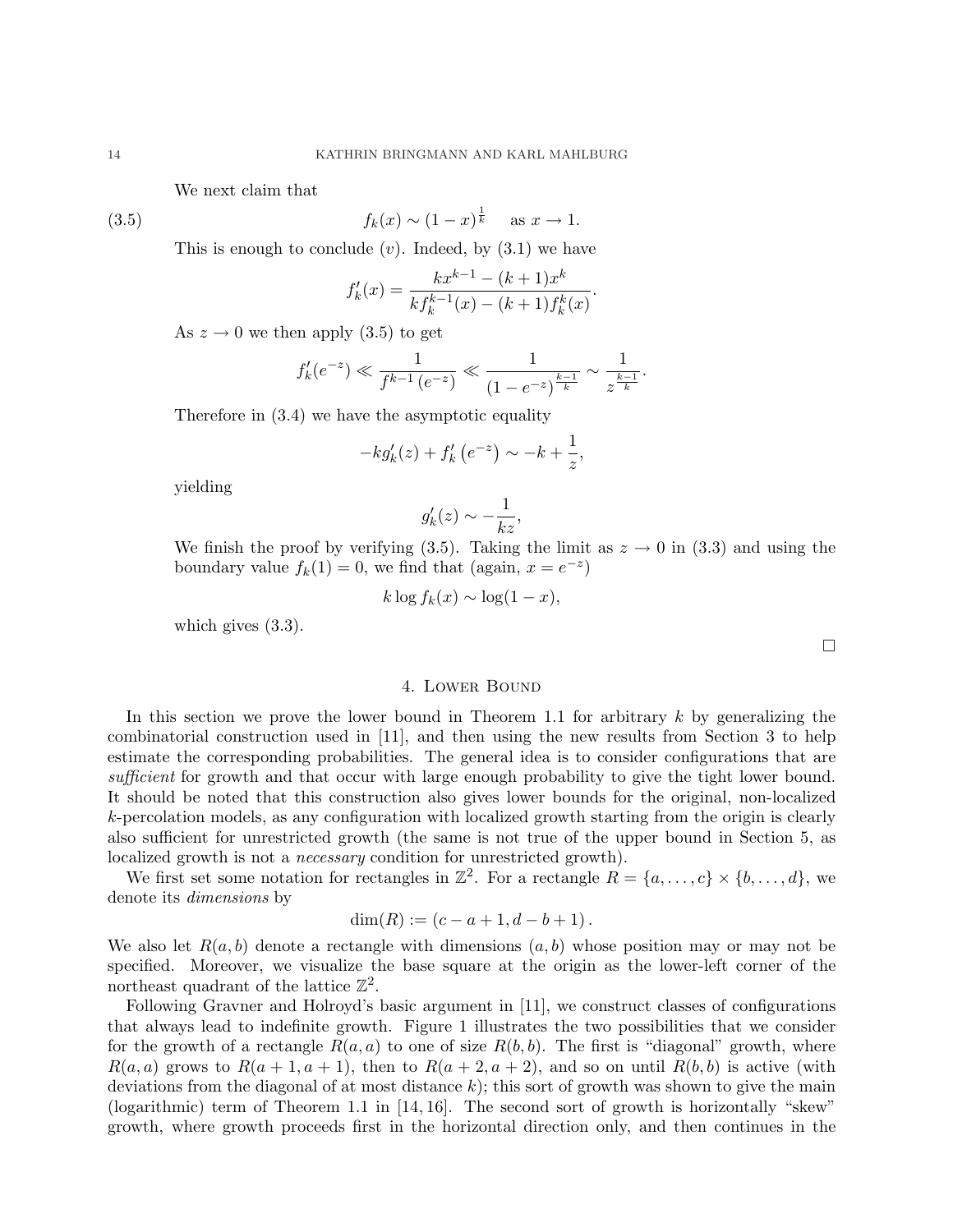We next claim that

(3.5) 
$$
f_k(x) \sim (1-x)^{\frac{1}{k}}
$$
 as  $x \to 1$ .

This is enough to conclude  $(v)$ . Indeed, by  $(3.1)$  we have

$$
f'_{k}(x) = \frac{kx^{k-1} - (k+1)x^{k}}{k f_{k}^{k-1}(x) - (k+1)f_{k}^{k}(x)}.
$$

As  $z \to 0$  we then apply (3.5) to get

$$
f'_k(e^{-z}) \ll \frac{1}{f^{k-1}(e^{-z})} \ll \frac{1}{(1-e^{-z})^{\frac{k-1}{k}}} \sim \frac{1}{z^{\frac{k-1}{k}}}.
$$

Therefore in (3.4) we have the asymptotic equality

$$
-kg'_k(z) + f'_k(e^{-z}) \sim -k + \frac{1}{z},
$$

yielding

$$
g'_k(z) \sim -\frac{1}{kz},
$$

We finish the proof by verifying (3.5). Taking the limit as  $z \to 0$  in (3.3) and using the boundary value  $f_k(1) = 0$ , we find that (again,  $x = e^{-z}$ )

$$
k \log f_k(x) \sim \log(1-x),
$$

which gives (3.3).

## 4. Lower Bound

In this section we prove the lower bound in Theorem 1.1 for arbitrary  $k$  by generalizing the combinatorial construction used in [11], and then using the new results from Section 3 to help estimate the corresponding probabilities. The general idea is to consider configurations that are sufficient for growth and that occur with large enough probability to give the tight lower bound. It should be noted that this construction also gives lower bounds for the original, non-localized k-percolation models, as any configuration with localized growth starting from the origin is clearly also sufficient for unrestricted growth (the same is not true of the upper bound in Section 5, as localized growth is not a *necessary* condition for unrestricted growth).

We first set some notation for rectangles in  $\mathbb{Z}^2$ . For a rectangle  $R = \{a, \ldots, c\} \times \{b, \ldots, d\}$ , we denote its dimensions by

$$
\dim(R) := (c - a + 1, d - b + 1).
$$

We also let  $R(a, b)$  denote a rectangle with dimensions  $(a, b)$  whose position may or may not be specified. Moreover, we visualize the base square at the origin as the lower-left corner of the northeast quadrant of the lattice  $\mathbb{Z}^2$ .

Following Gravner and Holroyd's basic argument in [11], we construct classes of configurations that always lead to indefinite growth. Figure 1 illustrates the two possibilities that we consider for the growth of a rectangle  $R(a, a)$  to one of size  $R(b, b)$ . The first is "diagonal" growth, where  $R(a, a)$  grows to  $R(a + 1, a + 1)$ , then to  $R(a + 2, a + 2)$ , and so on until  $R(b, b)$  is active (with deviations from the diagonal of at most distance  $k$ ); this sort of growth was shown to give the main (logarithmic) term of Theorem 1.1 in [14, 16]. The second sort of growth is horizontally "skew" growth, where growth proceeds first in the horizontal direction only, and then continues in the

¤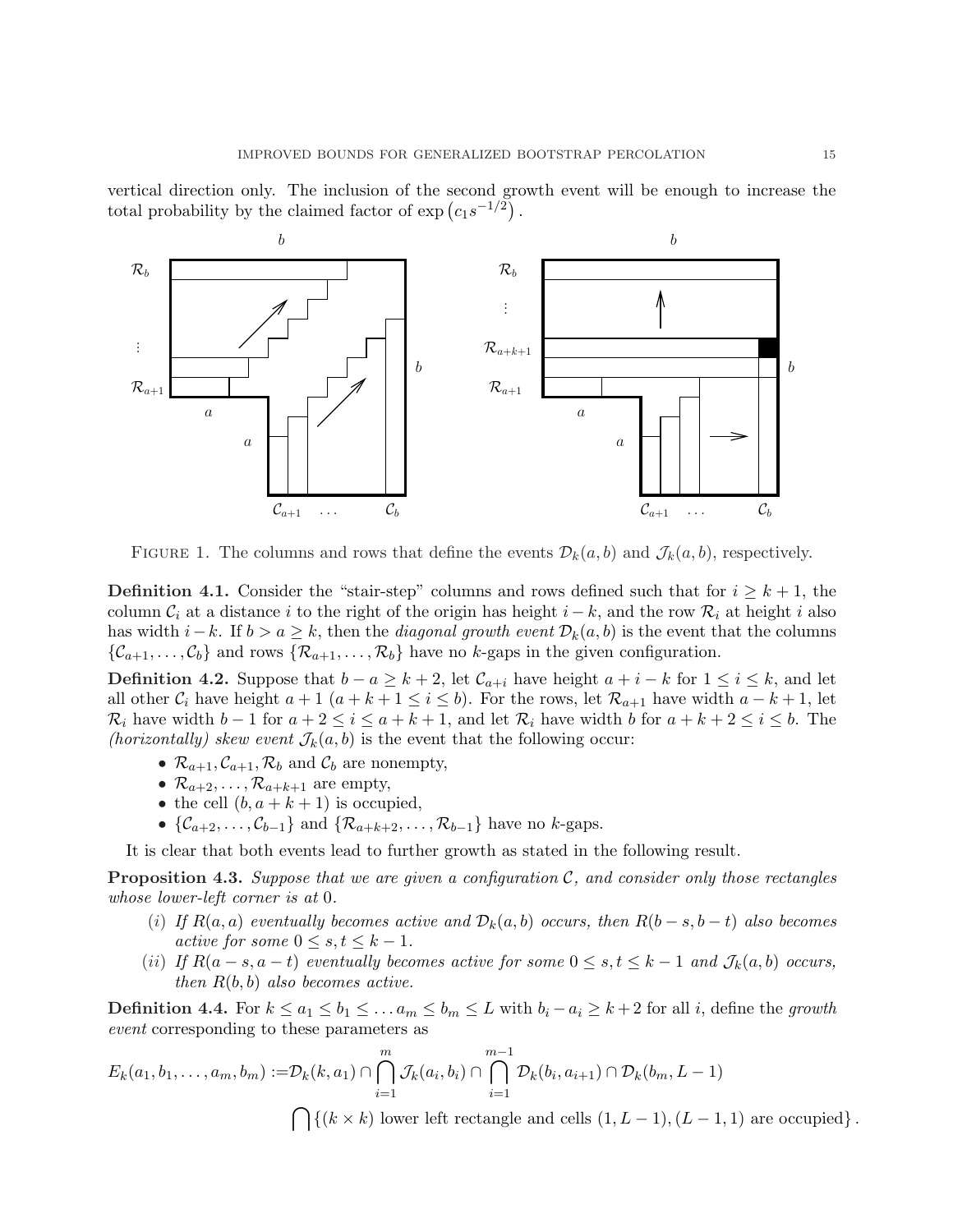vertical direction only. The inclusion of the second growth event will be enough to increase the ¢ vertical direction only. The inclusion of the second graphoral probability by the claimed factor of  $\exp\left(c_1 s^{-1/2}\right)$ .



FIGURE 1. The columns and rows that define the events  $\mathcal{D}_k(a, b)$  and  $\mathcal{J}_k(a, b)$ , respectively.

**Definition 4.1.** Consider the "stair-step" columns and rows defined such that for  $i \geq k+1$ , the column  $\mathcal{C}_i$  at a distance i to the right of the origin has height  $i - k$ , and the row  $\mathcal{R}_i$  at height i also has width  $i-k$ . If  $b > a \geq k$ , then the *diagonal growth event*  $\mathcal{D}_k(a, b)$  is the event that the columns  $\{\mathcal{C}_{a+1},\ldots,\mathcal{C}_b\}$  and rows  $\{\mathcal{R}_{a+1},\ldots,\mathcal{R}_b\}$  have no k-gaps in the given configuration.

**Definition 4.2.** Suppose that  $b - a \geq k + 2$ , let  $\mathcal{C}_{a+i}$  have height  $a + i - k$  for  $1 \leq i \leq k$ , and let all other  $C_i$  have height  $a+1$   $(a+k+1 \leq i \leq b)$ . For the rows, let  $\mathcal{R}_{a+1}$  have width  $a-k+1$ , let  $\mathcal{R}_i$  have width  $b-1$  for  $a+2 \leq i \leq a+k+1$ , and let  $\mathcal{R}_i$  have width b for  $a+k+2 \leq i \leq b$ . The (horizontally) skew event  $\mathcal{J}_k(a, b)$  is the event that the following occur:

- $\mathcal{R}_{a+1}, \mathcal{C}_{a+1}, \mathcal{R}_b$  and  $\mathcal{C}_b$  are nonempty,
- $\mathcal{R}_{a+2}, \ldots, \mathcal{R}_{a+k+1}$  are empty,
- the cell  $(b, a + k + 1)$  is occupied,
- $\{\mathcal{C}_{a+2}, \ldots, \mathcal{C}_{b-1}\}\$  and  $\{\mathcal{R}_{a+k+2}, \ldots, \mathcal{R}_{b-1}\}\$  have no k-gaps.

It is clear that both events lead to further growth as stated in the following result.

**Proposition 4.3.** Suppose that we are given a configuration  $\mathcal{C}$ , and consider only those rectangles whose lower-left corner is at 0.

- (i) If  $R(a, a)$  eventually becomes active and  $\mathcal{D}_k(a, b)$  occurs, then  $R(b s, b t)$  also becomes active for some  $0 \leq s, t \leq k - 1$ .
- (ii) If  $R(a-s,a-t)$  eventually becomes active for some  $0 \leq s,t \leq k-1$  and  $\mathcal{J}_k(a,b)$  occurs, then  $R(b, b)$  also becomes active.

**Definition 4.4.** For  $k \le a_1 \le b_1 \le \ldots a_m \le b_m \le L$  with  $b_i - a_i \ge k+2$  for all i, define the growth event corresponding to these parameters as

$$
E_k(a_1, b_1, \dots, a_m, b_m) := \mathcal{D}_k(k, a_1) \cap \bigcap_{i=1}^m \mathcal{J}_k(a_i, b_i) \cap \bigcap_{i=1}^{m-1} \mathcal{D}_k(b_i, a_{i+1}) \cap \mathcal{D}_k(b_m, L-1)
$$

 $\{(\mathbf{k} \times \mathbf{k})\}$  lower left rectangle and cells  $(1, L - 1), (L - 1, 1)$  are occupied.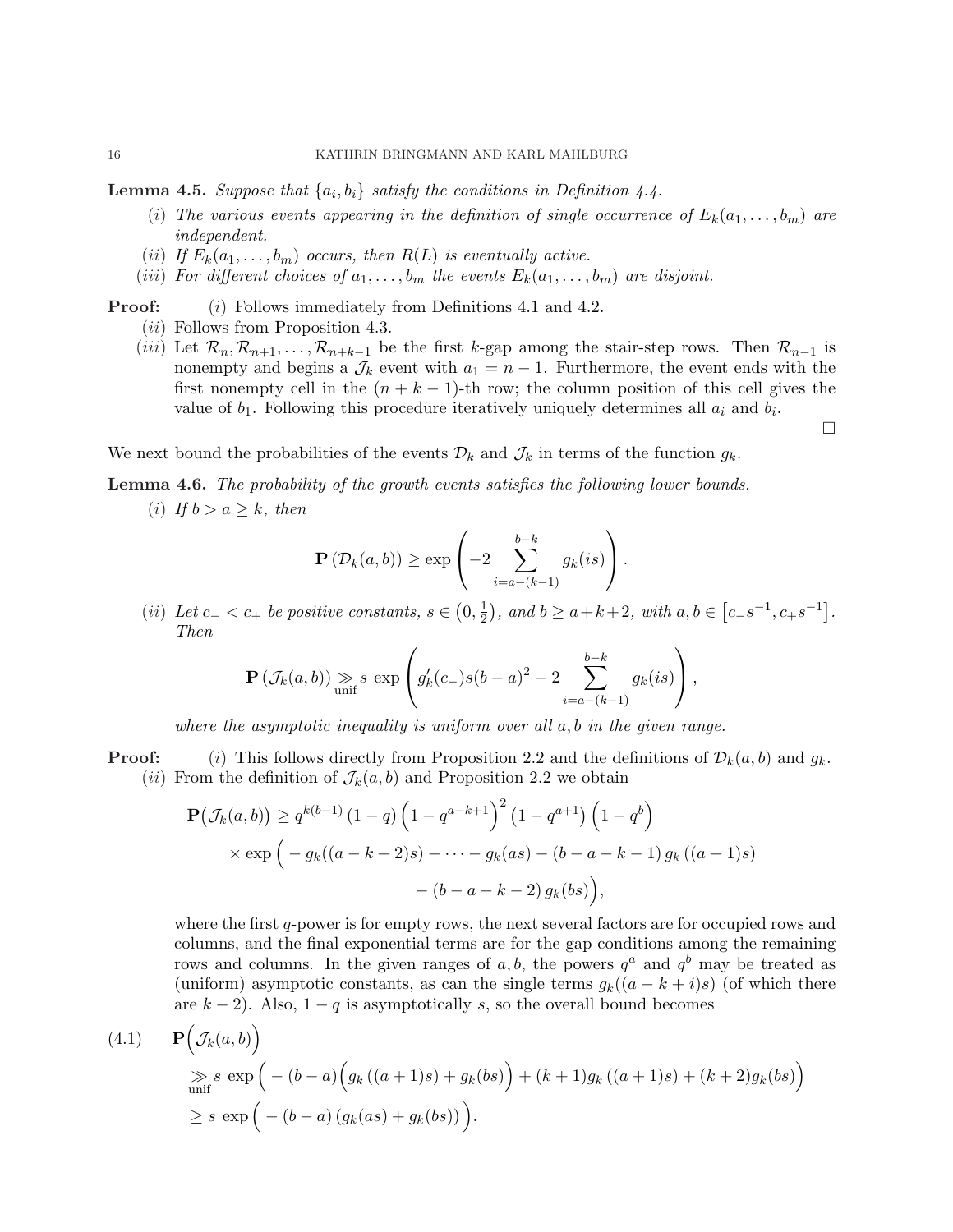**Lemma 4.5.** Suppose that  $\{a_i, b_i\}$  satisfy the conditions in Definition 4.4.

- (i) The various events appearing in the definition of single occurrence of  $E_k(a_1, \ldots, b_m)$  are independent.
- (ii) If  $E_k(a_1,\ldots,b_m)$  occurs, then  $R(L)$  is eventually active.
- (iii) For different choices of  $a_1, \ldots, b_m$  the events  $E_k(a_1, \ldots, b_m)$  are disjoint.
- **Proof:** (i) Follows immediately from Definitions 4.1 and 4.2. (ii) Follows from Proposition 4.3.
	- (iii) Let  $\mathcal{R}_n, \mathcal{R}_{n+1}, \ldots, \mathcal{R}_{n+k-1}$  be the first k-gap among the stair-step rows. Then  $\mathcal{R}_{n-1}$  is nonempty and begins a  $\mathcal{J}_k$  event with  $a_1 = n - 1$ . Furthermore, the event ends with the first nonempty cell in the  $(n + k - 1)$ -th row; the column position of this cell gives the value of  $b_1$ . Following this procedure iteratively uniquely determines all  $a_i$  and  $b_i$ .

 $\Box$ 

We next bound the probabilities of the events  $\mathcal{D}_k$  and  $\mathcal{J}_k$  in terms of the function  $g_k$ .

Lemma 4.6. The probability of the growth events satisfies the following lower bounds.

(i) If  $b > a \geq k$ , then

$$
\mathbf{P}\left(\mathcal{D}_k(a,b)\right) \ge \exp\left(-2\sum_{i=a-(k-1)}^{b-k} g_k(is)\right).
$$

(ii) Let  $c_$  <  $c_+$  be positive constants,  $s \in$  $0, \frac{1}{2}$  $\overline{2}$ , and  $b \ge a+k+2$ , with  $a, b \in$ £  $[c_{-} s^{-1}, c_{+} s^{-1}]$ . Then  $\overline{\phantom{a}}$  $\mathbf{r}$ 

$$
\mathbf{P}\left(\mathcal{J}_k(a,b)\right) \underset{\text{unif}}{\gg} s \exp\left(g'_k(c_-)s(b-a)^2 - 2\sum_{i=a-(k-1)}^{b-k} g_k(is)\right),
$$

where the asymptotic inequality is uniform over all  $a, b$  in the given range.

**Proof:** (i) This follows directly from Proposition 2.2 and the definitions of  $\mathcal{D}_k(a, b)$  and  $g_k$ . (ii) From the definition of  $\mathcal{J}_k(a, b)$  and Proposition 2.2 we obtain

$$
\mathbf{P}(\mathcal{J}_k(a,b)) \ge q^{k(b-1)} (1-q) \left(1-q^{a-k+1}\right)^2 (1-q^{a+1}) \left(1-q^b\right)
$$
  
×  $\exp\left(-g_k((a-k+2)s) - \cdots - g_k(as) - (b-a-k-1) g_k((a+1)s) - (b-a-k-2) g_k(bs)\right),$ 

where the first q-power is for empty rows, the next several factors are for occupied rows and columns, and the final exponential terms are for the gap conditions among the remaining rows and columns. In the given ranges of a, b, the powers  $q^a$  and  $q^b$  may be treated as (uniform) asymptotic constants, as can the single terms  $g_k((a - k + i)s)$  (of which there are  $k - 2$ ). Also,  $1 - q$  is asymptotically s, so the overall bound becomes

(4.1) 
$$
\mathbf{P}\Big(\mathcal{J}_k(a,b)\Big)
$$
  
\n
$$
\geq s \exp\Big(-(b-a)\Big(g_k((a+1)s) + g_k(bs)\Big) + (k+1)g_k((a+1)s) + (k+2)g_k(bs)\Big)
$$
  
\n
$$
\geq s \exp\Big(-(b-a)\big(g_k(as) + g_k(bs)\big)\Big).
$$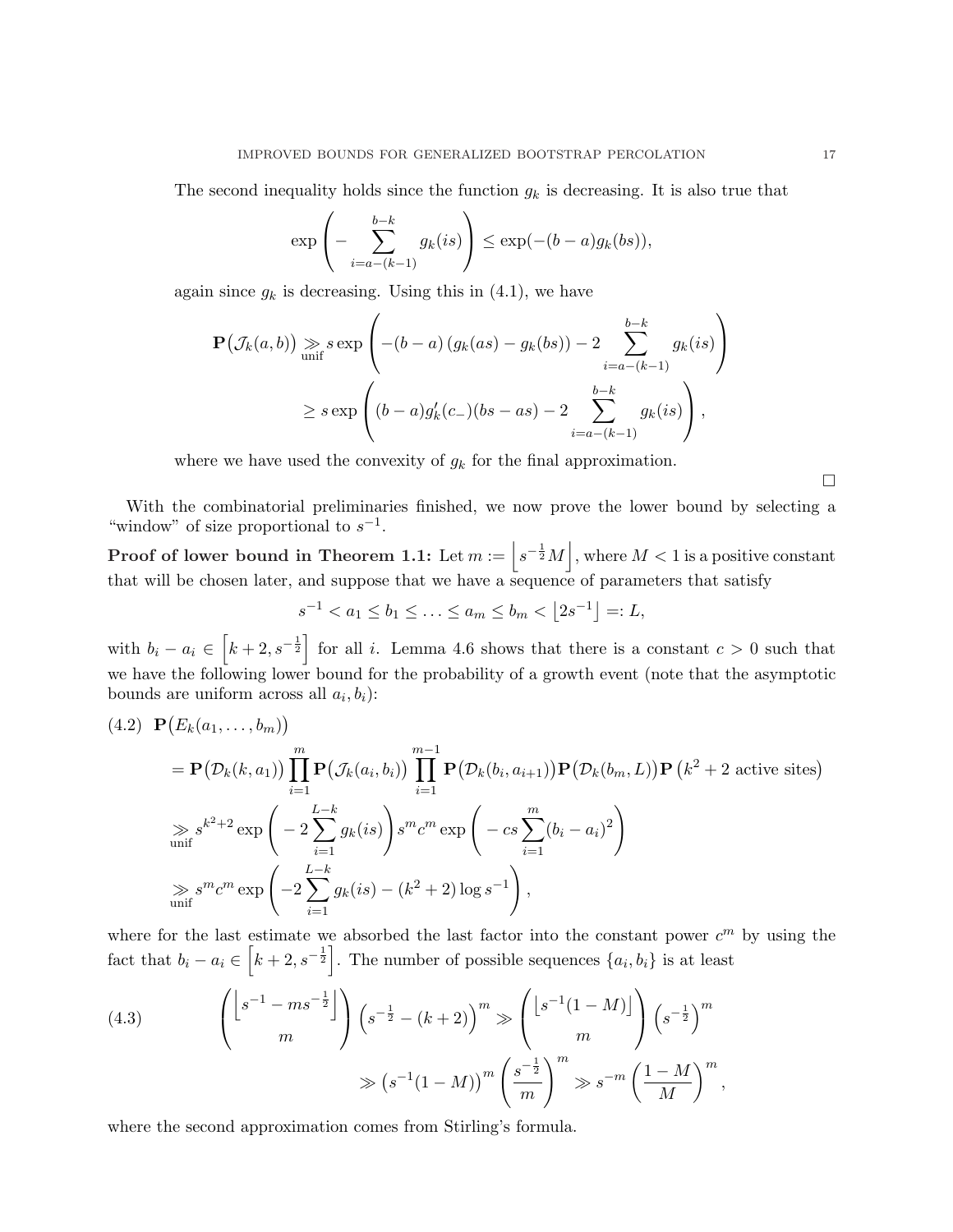The second inequality holds since the function  $g_k$  is decreasing. It is also true that

$$
\exp\left(-\sum_{i=a-(k-1)}^{b-k} g_k(is)\right) \le \exp(-(b-a)g_k(bs)),
$$

again since  $g_k$  is decreasing. Using this in (4.1), we have

$$
\mathbf{P}(\mathcal{J}_k(a,b)) \geqslant s \exp\left(-(b-a)(g_k(as) - g_k(bs)) - 2\sum_{i=a-(k-1)}^{b-k} g_k(is)\right)
$$
  
 
$$
\geq s \exp\left((b-a)g'_k(c_{-})(bs-as) - 2\sum_{i=a-(k-1)}^{b-k} g_k(is)\right),
$$

where we have used the convexity of  $g_k$  for the final approximation.

With the combinatorial preliminaries finished, we now prove the lower bound by selecting a "window" of size proportional to  $s^{-1}$ . k

Proof of lower bound in Theorem 1.1: Let  $m := |s^{-\frac{1}{2}}M|$ , where  $M < 1$  is a positive constant that will be chosen later, and suppose that we have a sequence of parameters that satisfy

$$
s^{-1} < a_1 \le b_1 \le \ldots \le a_m \le b_m < \lfloor 2s^{-1} \rfloor =: L,
$$

with  $b_i - a_i \in$  $k+2, s^{-\frac{1}{2}}$ for all i. Lemma 4.6 shows that there is a constant  $c > 0$  such that we have the following lower bound for the probability of a growth event (note that the asymptotic bounds are uniform across all  $a_i, b_i$ : ¡ ¢

$$
(4.2) \mathbf{P}(E_k(a_1,...,b_m))
$$
  
=  $\mathbf{P}(\mathcal{D}_k(k,a_1)) \prod_{i=1}^m \mathbf{P}(\mathcal{J}_k(a_i,b_i)) \prod_{i=1}^{m-1} \mathbf{P}(\mathcal{D}_k(b_i,a_{i+1})) \mathbf{P}(\mathcal{D}_k(b_m,L)) \mathbf{P}(k^2+2 \text{ active sites})$   

$$
\gg s^{k^2+2} \exp\left(-2 \sum_{i=1}^{L-k} g_k(is)\right) s^m c^m \exp\left(-cs \sum_{i=1}^m (b_i - a_i)^2\right)
$$
  

$$
\gg s^m c^m \exp\left(-2 \sum_{i=1}^{L-k} g_k(is) - (k^2+2) \log s^{-1}\right),
$$

where for the last estimate we absorbed the last factor into the constant power  $c^m$  by using the fact that  $b_i - a_i \in \left[k + 2, s^{-\frac{1}{2}}\right]$ . The number of possible sequences  $\{a_i, b_i\}$  is at least

(4.3) 
$$
\begin{pmatrix} \left\lfloor s^{-1} - ms^{-\frac{1}{2}} \right\rfloor \\ m \end{pmatrix} \left( s^{-\frac{1}{2}} - (k+2) \right)^m \gg \begin{pmatrix} \left\lfloor s^{-1}(1-M) \right\rfloor \\ m \end{pmatrix} \left( s^{-\frac{1}{2}} \right)^m
$$

$$
\gg \left( s^{-1}(1-M) \right)^m \left( \frac{s^{-\frac{1}{2}}}{m} \right)^m \gg s^{-m} \left( \frac{1-M}{M} \right)^m,
$$

where the second approximation comes from Stirling's formula.

h

¤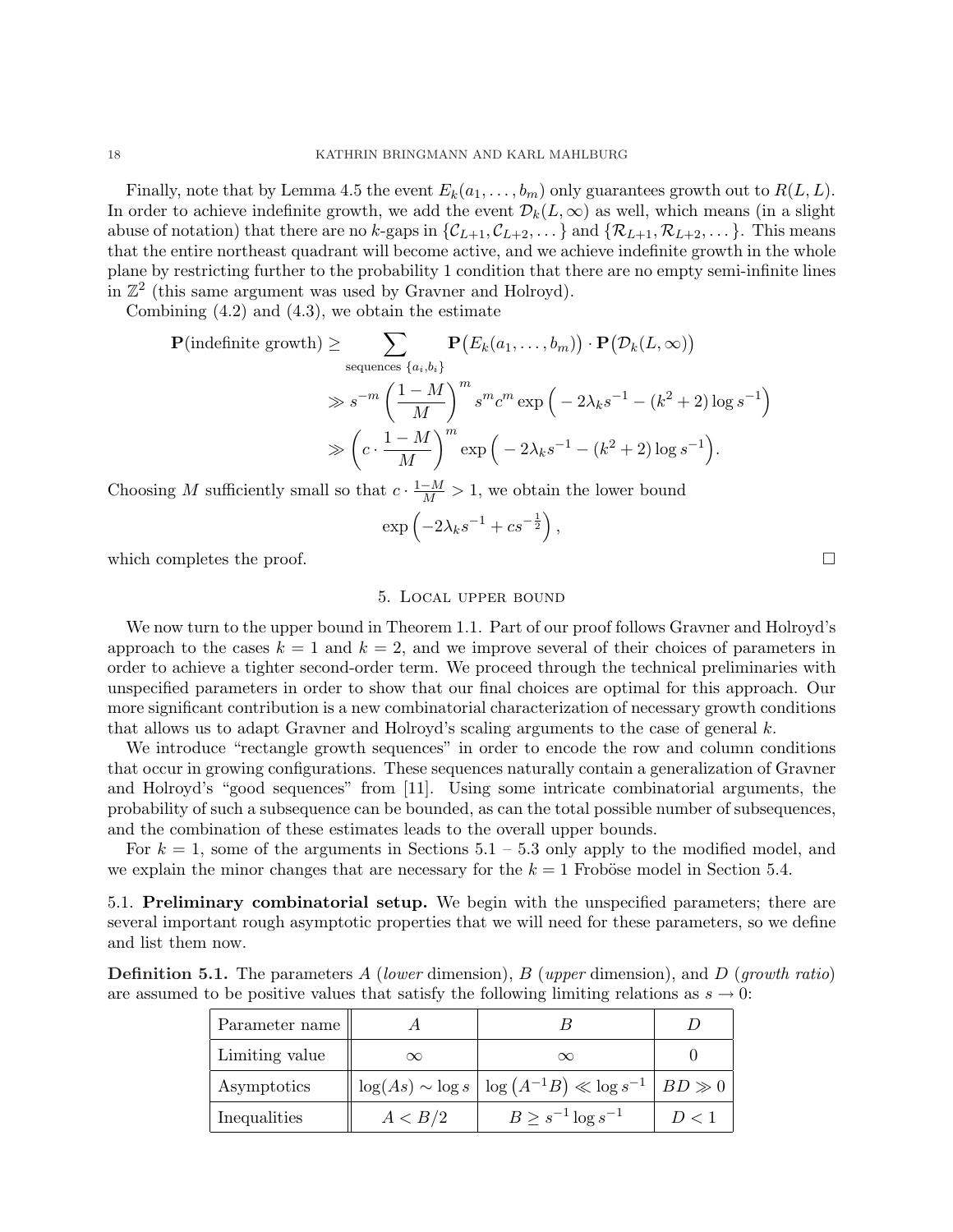Finally, note that by Lemma 4.5 the event  $E_k(a_1, \ldots, b_m)$  only guarantees growth out to  $R(L, L)$ . In order to achieve indefinite growth, we add the event  $\mathcal{D}_k(L,\infty)$  as well, which means (in a slight abuse of notation) that there are no k-gaps in  $\{\mathcal{C}_{L+1}, \mathcal{C}_{L+2}, \ldots\}$  and  $\{\mathcal{R}_{L+1}, \mathcal{R}_{L+2}, \ldots\}$ . This means that the entire northeast quadrant will become active, and we achieve indefinite growth in the whole plane by restricting further to the probability 1 condition that there are no empty semi-infinite lines in  $\mathbb{Z}^2$  (this same argument was used by Gravner and Holroyd).

Combining  $(4.2)$  and  $(4.3)$ , we obtain the estimate

$$
\mathbf{P}(\text{indefinite growth}) \geq \sum_{\text{sequences } \{a_i, b_i\}} \mathbf{P}\big(E_k(a_1, \dots, b_m)\big) \cdot \mathbf{P}\big(\mathcal{D}_k(L, \infty)\big)
$$
  

$$
\gg s^{-m} \left(\frac{1 - M}{M}\right)^m s^m c^m \exp\Big(-2\lambda_k s^{-1} - (k^2 + 2) \log s^{-1}\Big)
$$
  

$$
\gg \left(c \cdot \frac{1 - M}{M}\right)^m \exp\Big(-2\lambda_k s^{-1} - (k^2 + 2) \log s^{-1}\Big).
$$

Choosing M sufficiently small so that  $c \cdot \frac{1-M}{M} > 1$ , we obtain the lower bound ´

$$
\exp\left(-2\lambda_k s^{-1} + c s^{-\frac{1}{2}}\right),\,
$$

which completes the proof.  $\Box$ 

#### 5. Local upper bound

We now turn to the upper bound in Theorem 1.1. Part of our proof follows Gravner and Holroyd's approach to the cases  $k = 1$  and  $k = 2$ , and we improve several of their choices of parameters in order to achieve a tighter second-order term. We proceed through the technical preliminaries with unspecified parameters in order to show that our final choices are optimal for this approach. Our more significant contribution is a new combinatorial characterization of necessary growth conditions that allows us to adapt Gravner and Holroyd's scaling arguments to the case of general  $k$ .

We introduce "rectangle growth sequences" in order to encode the row and column conditions that occur in growing configurations. These sequences naturally contain a generalization of Gravner and Holroyd's "good sequences" from [11]. Using some intricate combinatorial arguments, the probability of such a subsequence can be bounded, as can the total possible number of subsequences, and the combination of these estimates leads to the overall upper bounds.

For  $k = 1$ , some of the arguments in Sections  $5.1 - 5.3$  only apply to the modified model, and we explain the minor changes that are necessary for the  $k = 1$  Froböse model in Section 5.4.

5.1. Preliminary combinatorial setup. We begin with the unspecified parameters; there are several important rough asymptotic properties that we will need for these parameters, so we define and list them now.

**Definition 5.1.** The parameters A (lower dimension), B (upper dimension), and D (growth ratio) are assumed to be positive values that satisfy the following limiting relations as  $s \to 0$ :

| Parameter name |          |                                                                          |       |
|----------------|----------|--------------------------------------------------------------------------|-------|
| Limiting value | $\infty$ |                                                                          |       |
| Asymptotics    |          | $\log(As) \sim \log s \mid \log (A^{-1}B) \ll \log s^{-1} \mid BD \gg 0$ |       |
| Inequalities   | A < B/2  | $B \geq s^{-1} \log s^{-1}$                                              | D < 1 |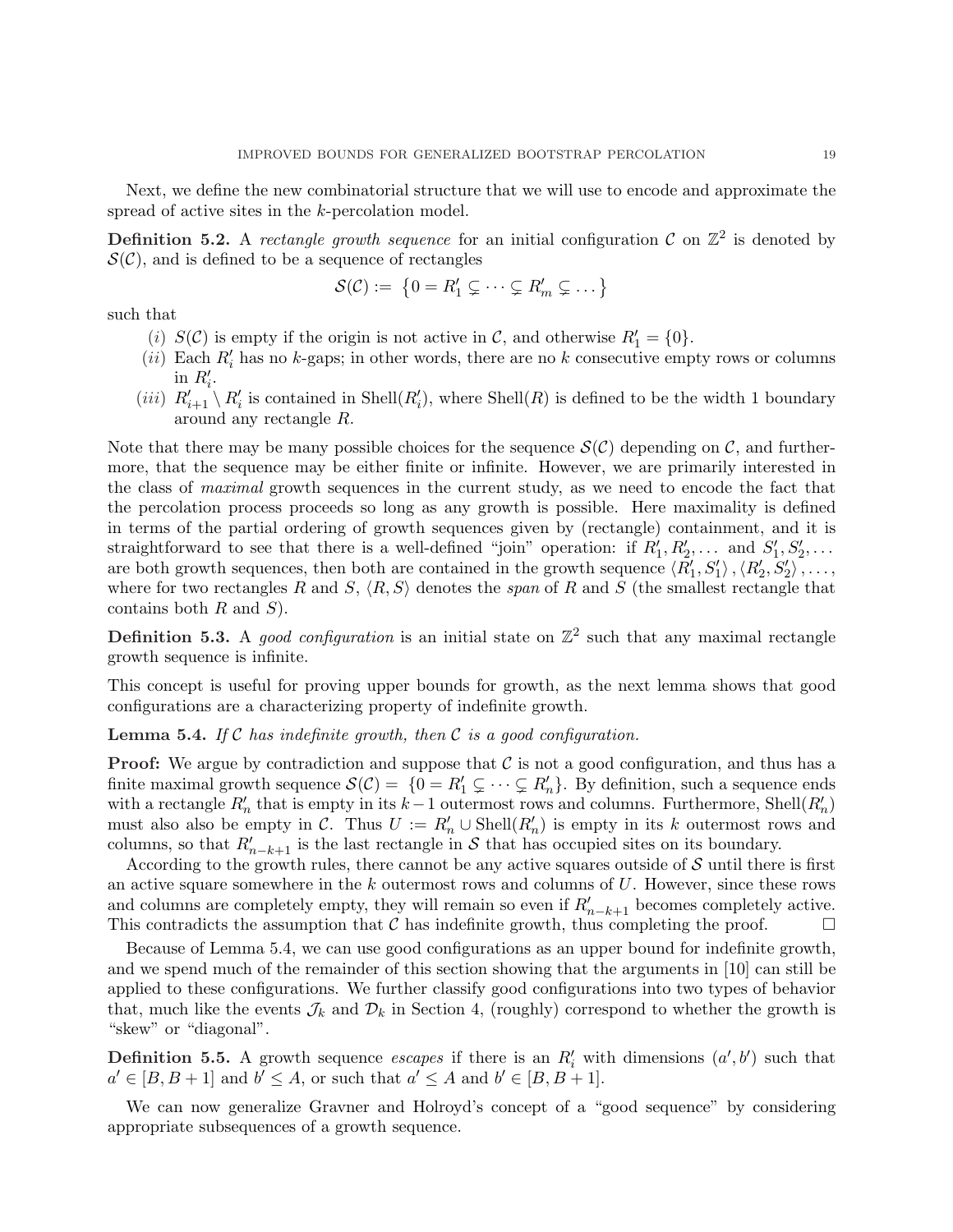Next, we define the new combinatorial structure that we will use to encode and approximate the spread of active sites in the k-percolation model.

**Definition 5.2.** A rectangle growth sequence for an initial configuration C on  $\mathbb{Z}^2$  is denoted by  $\mathcal{S}(\mathcal{C})$ , and is defined to be a sequence of rectangles

$$
\mathcal{S}(\mathcal{C}) := \{0 = R'_1 \subsetneq \cdots \subsetneq R'_m \subsetneq \ldots\}
$$

such that

- (i)  $S(\mathcal{C})$  is empty if the origin is not active in  $\mathcal{C}$ , and otherwise  $R'_1 = \{0\}.$
- (ii) Each  $R'_i$  has no k-gaps; in other words, there are no k consecutive empty rows or columns in  $R'_i$ .
- (*iii*)  $R'_{i+1} \setminus R'_i$  is contained in Shell( $R'_i$ ), where Shell( $R$ ) is defined to be the width 1 boundary around any rectangle R.

Note that there may be many possible choices for the sequence  $\mathcal{S}(\mathcal{C})$  depending on  $\mathcal{C}$ , and furthermore, that the sequence may be either finite or infinite. However, we are primarily interested in the class of *maximal* growth sequences in the current study, as we need to encode the fact that the percolation process proceeds so long as any growth is possible. Here maximality is defined in terms of the partial ordering of growth sequences given by (rectangle) containment, and it is straightforward to see that there is a well-defined "join" operation: if  $R'_1, R'_2, \ldots$  and  $S'_1, S'_2, \ldots$ are both growth sequences, then both are contained in the growth sequence  $\langle R_1', S_1' \rangle$ ,  $\langle R_2', S_2' \rangle$ , ..., where for two rectangles R and S,  $\langle R, S \rangle$  denotes the span of R and S (the smallest rectangle that contains both  $R$  and  $S$ ).

**Definition 5.3.** A good configuration is an initial state on  $\mathbb{Z}^2$  such that any maximal rectangle growth sequence is infinite.

This concept is useful for proving upper bounds for growth, as the next lemma shows that good configurations are a characterizing property of indefinite growth.

**Lemma 5.4.** If C has indefinite growth, then C is a good configuration.

**Proof:** We argue by contradiction and suppose that  $C$  is not a good configuration, and thus has a finite maximal growth sequence  $\mathcal{S}(\mathcal{C}) = \{0 = R'_1 \subsetneq \cdots \subsetneq R'_n\}$ . By definition, such a sequence ends with a rectangle  $R'_n$  that is empty in its k-1 outermost rows and columns. Furthermore, Shell $(R'_n)$ must also also be empty in C. Thus  $U := R'_n \cup \text{Shell}(R'_n)$  is empty in its k outermost rows and columns, so that  $R'_{n-k+1}$  is the last rectangle in S that has occupied sites on its boundary.

According to the growth rules, there cannot be any active squares outside of  $S$  until there is first an active square somewhere in the  $k$  outermost rows and columns of  $U$ . However, since these rows and columns are completely empty, they will remain so even if  $R'_{n-k+1}$  becomes completely active. This contradicts the assumption that  $\mathcal C$  has indefinite growth, thus completing the proof.  $\Box$ 

Because of Lemma 5.4, we can use good configurations as an upper bound for indefinite growth, and we spend much of the remainder of this section showing that the arguments in [10] can still be applied to these configurations. We further classify good configurations into two types of behavior that, much like the events  $\mathcal{J}_k$  and  $\mathcal{D}_k$  in Section 4, (roughly) correspond to whether the growth is "skew" or "diagonal".

**Definition 5.5.** A growth sequence escapes if there is an  $R'_i$  with dimensions  $(a', b')$  such that  $a' \in [B, B+1]$  and  $b' \leq A$ , or such that  $a' \leq A$  and  $b' \in [B, B+1]$ .

We can now generalize Gravner and Holroyd's concept of a "good sequence" by considering appropriate subsequences of a growth sequence.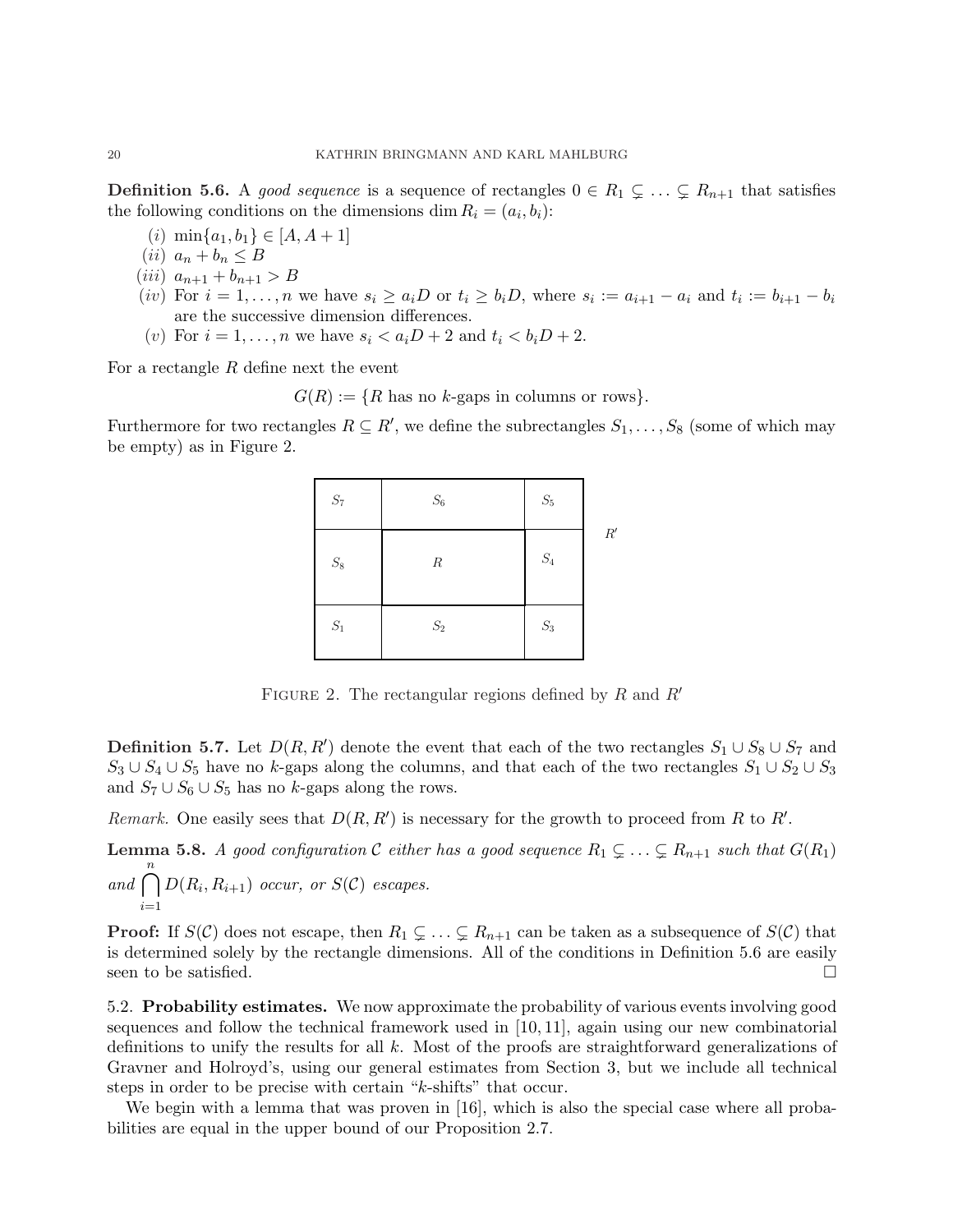**Definition 5.6.** A good sequence is a sequence of rectangles  $0 \in R_1 \subsetneq \ldots \subsetneq R_{n+1}$  that satisfies the following conditions on the dimensions dim  $R_i = (a_i, b_i)$ :

- (*i*)  $\min\{a_1, b_1\} \in [A, A + 1]$
- (ii)  $a_n + b_n \leq B$
- (*iii*)  $a_{n+1} + b_{n+1} > B$
- (iv) For  $i = 1, \ldots, n$  we have  $s_i \ge a_i D$  or  $t_i \ge b_i D$ , where  $s_i := a_{i+1} a_i$  and  $t_i := b_{i+1} b_i$ are the successive dimension differences.
- (v) For  $i = 1, ..., n$  we have  $s_i < a_i D + 2$  and  $t_i < b_i D + 2$ .

For a rectangle R define next the event

 $G(R) := \{R$  has no k-gaps in columns or rows}.

Furthermore for two rectangles  $R \subseteq R'$ , we define the subrectangles  $S_1, \ldots, S_8$  (some of which may be empty) as in Figure 2.

| $\mathcal{S}_7$ | $\mathcal{S}_6$ | $\mathcal{S}_5$ |            |
|-----------------|-----------------|-----------------|------------|
| $\mathcal{S}_8$ | $\cal R$        | $\mathcal{S}_4$ | $R^\prime$ |
| $\mathcal{S}_1$ | $\mathcal{S}_2$ | $\mathcal{S}_3$ |            |

FIGURE 2. The rectangular regions defined by R and  $R'$ 

**Definition 5.7.** Let  $D(R, R')$  denote the event that each of the two rectangles  $S_1 \cup S_8 \cup S_7$  and  $S_3 \cup S_4 \cup S_5$  have no k-gaps along the columns, and that each of the two rectangles  $S_1 \cup S_2 \cup S_3$ and  $S_7 \cup S_6 \cup S_5$  has no k-gaps along the rows.

Remark. One easily sees that  $D(R, R')$  is necessary for the growth to proceed from R to R'.

**Lemma 5.8.** A good configuration C either has a good sequence  $R_1 \subsetneq \ldots \subsetneq R_{n+1}$  such that  $G(R_1)$ and  $\bigcap^n$ 

 $i=1$  $D(R_i, R_{i+1})$  occur, or  $S(\mathcal{C})$  escapes.

**Proof:** If  $S(\mathcal{C})$  does not escape, then  $R_1 \subsetneq \ldots \subsetneq R_{n+1}$  can be taken as a subsequence of  $S(\mathcal{C})$  that is determined solely by the rectangle dimensions. All of the conditions in Definition 5.6 are easily seen to be satisfied.  $\Box$ 

5.2. Probability estimates. We now approximate the probability of various events involving good sequences and follow the technical framework used in [10, 11], again using our new combinatorial definitions to unify the results for all  $k$ . Most of the proofs are straightforward generalizations of Gravner and Holroyd's, using our general estimates from Section 3, but we include all technical steps in order to be precise with certain "k-shifts" that occur.

We begin with a lemma that was proven in [16], which is also the special case where all probabilities are equal in the upper bound of our Proposition 2.7.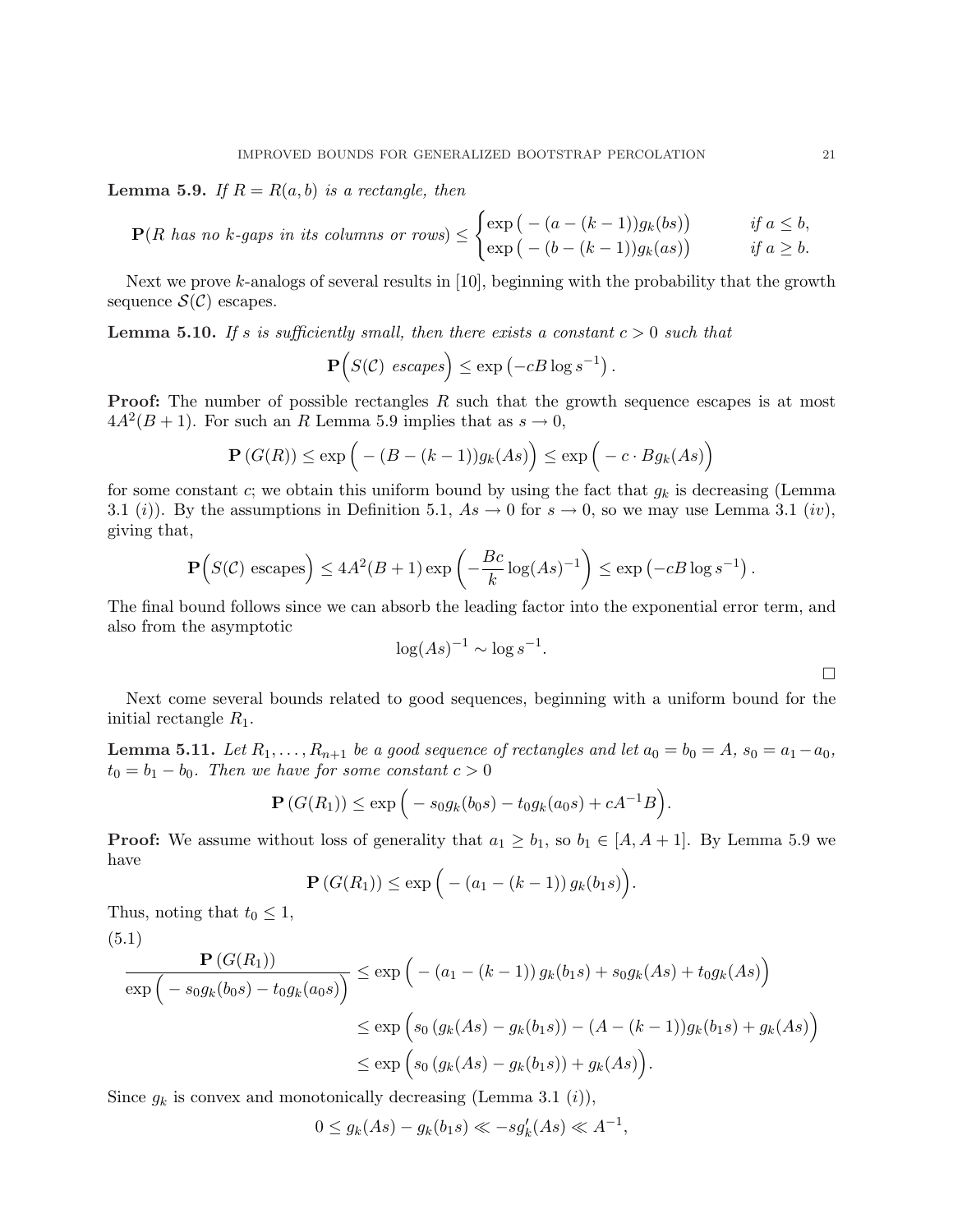**Lemma 5.9.** If  $R = R(a, b)$  is a rectangle, then

$$
\mathbf{P}(R \text{ has no } k\text{-gaps in its columns or rows}) \leq \begin{cases} \exp\big(-(a - (k-1))g_k(bs)\big) & \text{if } a \leq b, \\ \exp\big(-(b - (k-1))g_k(as)\big) & \text{if } a \geq b. \end{cases}
$$

Next we prove k-analogs of several results in [10], beginning with the probability that the growth sequence  $\mathcal{S}(\mathcal{C})$  escapes.

**Lemma 5.10.** If s is sufficiently small, then there exists a constant  $c > 0$  such that

$$
\mathbf{P}\Big(S(\mathcal{C}) \;\; escapes\Big) \le \exp\left(-cB\log s^{-1}\right)
$$

.

**Proof:** The number of possible rectangles  $R$  such that the growth sequence escapes is at most  $4A^2(B+1)$ . For such an R Lemma 5.9 implies that as  $s \to 0$ ,

$$
\mathbf{P}(G(R)) \le \exp\Big(-(B-(k-1))g_k(As)\Big) \le \exp\Big(-c \cdot Bg_k(As)\Big)
$$

for some constant c; we obtain this uniform bound by using the fact that  $g_k$  is decreasing (Lemma 3.1 (i)). By the assumptions in Definition 5.1,  $As \to 0$  for  $s \to 0$ , so we may use Lemma 3.1 (iv), giving that,

$$
\mathbf{P}\Big(S(\mathcal{C}) \text{ escapes}\Big) \le 4A^2(B+1)\exp\left(-\frac{Bc}{k}\log (As)^{-1}\right) \le \exp\left(-cB\log s^{-1}\right).
$$

The final bound follows since we can absorb the leading factor into the exponential error term, and also from the asymptotic

$$
\log(As)^{-1} \sim \log s^{-1}.
$$

Next come several bounds related to good sequences, beginning with a uniform bound for the initial rectangle  $R_1$ .

**Lemma 5.11.** Let  $R_1, \ldots, R_{n+1}$  be a good sequence of rectangles and let  $a_0 = b_0 = A$ ,  $s_0 = a_1 - a_0$ ,  $t_0 = b_1 - b_0$ . Then we have for some constant  $c > 0$ 

$$
\mathbf{P}(G(R_1)) \le \exp\Big(-s_0g_k(b_0s) - t_0g_k(a_0s) + cA^{-1}B\Big).
$$

**Proof:** We assume without loss of generality that  $a_1 \geq b_1$ , so  $b_1 \in [A, A + 1]$ . By Lemma 5.9 we have ´

$$
\mathbf{P}(G(R_1)) \le \exp\Big(-(a_1 - (k-1)) g_k(b_1 s)\Big).
$$

Thus, noting that  $t_0 \leq 1$ ,

(5.1)  
\n
$$
\frac{\mathbf{P}(G(R_1))}{\exp(-s_0g_k(b_0s) - t_0g_k(a_0s))} \le \exp(- (a_1 - (k-1)) g_k(b_1s) + s_0g_k(As) + t_0g_k(As))
$$
\n
$$
\le \exp(s_0 (g_k(As) - g_k(b_1s)) - (A - (k-1)) g_k(b_1s) + g_k(As))
$$
\n
$$
\le \exp(s_0 (g_k(As) - g_k(b_1s)) + g_k(As)).
$$

Since  $g_k$  is convex and monotonically decreasing (Lemma 3.1 (i)),

$$
0 \le g_k(As) - g_k(b_1s) \ll -sg'_k(As) \ll A^{-1},
$$

¤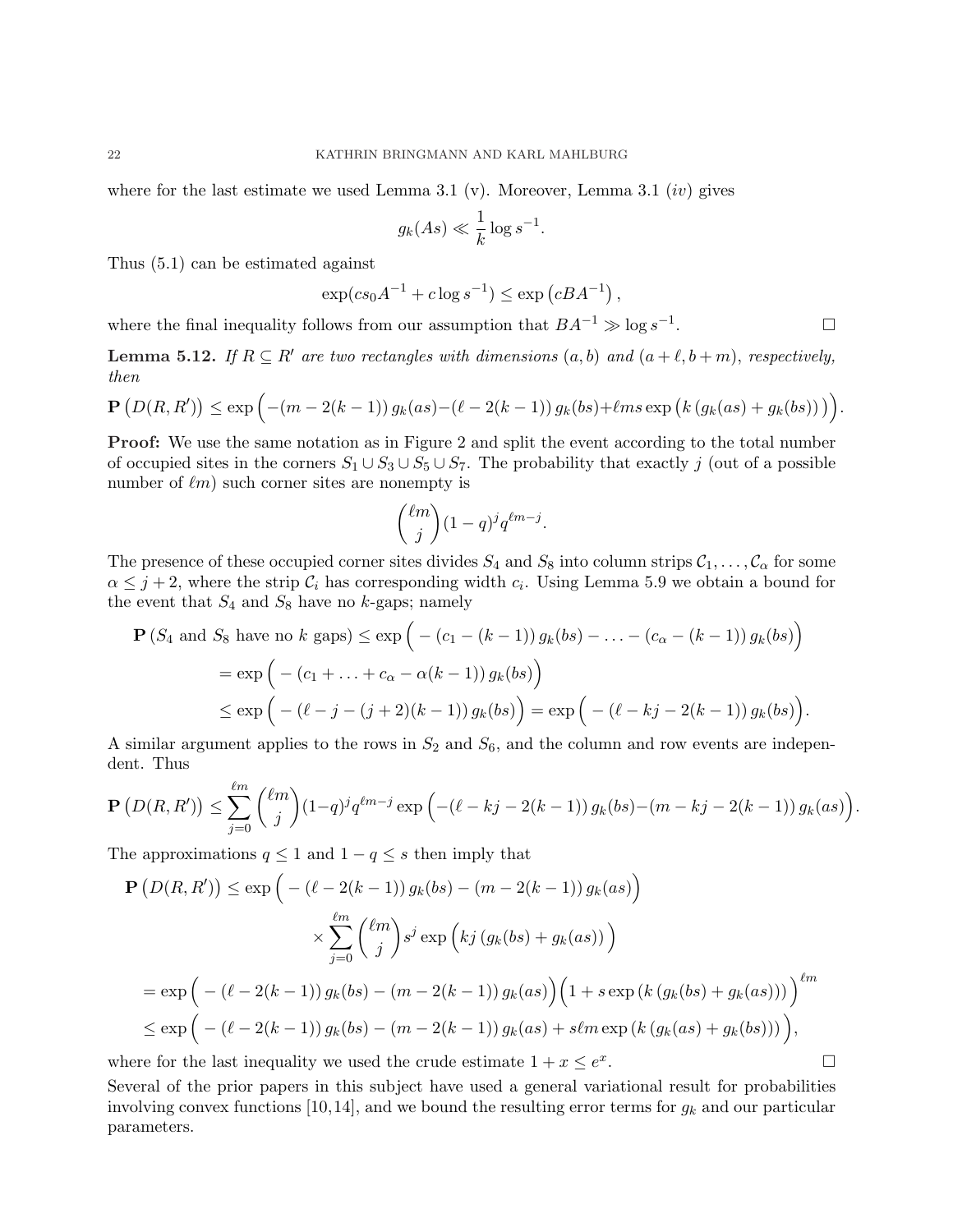where for the last estimate we used Lemma 3.1 (v). Moreover, Lemma 3.1 (iv) gives

$$
g_k(As) \ll \frac{1}{k} \log s^{-1}
$$

.

.

Thus (5.1) can be estimated against

$$
\exp(c s_0 A^{-1} + c \log s^{-1}) \le \exp\left(c B A^{-1}\right),
$$

where the final inequality follows from our assumption that  $BA^{-1} \gg \log s^{-1}$ .  $\Box$ 

**Lemma 5.12.** If  $R \subseteq R'$  are two rectangles with dimensions  $(a, b)$  and  $(a + \ell, b + m)$ , respectively, then ´

$$
\mathbf{P}(D(R, R')) \le \exp\left(-(m - 2(k - 1)) g_k(as) - (\ell - 2(k - 1)) g_k(bs) + \ell ms \exp\left(k \left(g_k(as) + g_k(bs)\right)\right)\right)
$$

Proof: We use the same notation as in Figure 2 and split the event according to the total number of occupied sites in the corners  $S_1 \cup S_3 \cup S_5 \cup S_7$ . The probability that exactly j (out of a possible number of  $\ell m$ ) such corner sites are nonempty is

$$
\binom{\ell m}{j} (1-q)^j q^{\ell m-j}.
$$

The presence of these occupied corner sites divides  $S_4$  and  $S_8$  into column strips  $C_1, \ldots, C_\alpha$  for some  $\alpha \leq j+2$ , where the strip  $\mathcal{C}_i$  has corresponding width  $c_i$ . Using Lemma 5.9 we obtain a bound for the event that  $S_4$  and  $S_8$  have no k-gaps; namely ´

$$
\mathbf{P}(S_4 \text{ and } S_8 \text{ have no } k \text{ gaps}) \le \exp\left(- (c_1 - (k-1)) g_k(bs) - \dots - (c_\alpha - (k-1)) g_k(bs) \right)
$$
  
=  $\exp\left(- (c_1 + \dots + c_\alpha - \alpha(k-1)) g_k(bs) \right)$   
 $\le \exp\left(- (\ell - j - (j+2)(k-1)) g_k(bs) \right) = \exp\left(- (\ell - kj - 2(k-1)) g_k(bs) \right).$ 

A similar argument applies to the rows in  $S_2$  and  $S_6$ , and the column and row events are independent. Thus

$$
\mathbf{P}\left(D(R,R')\right) \leq \sum_{j=0}^{\ell m} \binom{\ell m}{j} (1-q)^j q^{\ell m-j} \exp\left(-(\ell-kj-2(k-1)) g_k(b s) - (m-kj-2(k-1)) g_k(a s)\right).
$$

The approximations  $q \leq 1$  and  $1 - q \leq s$  then imply that

$$
\mathbf{P}\left(D(R, R')\right) \leq \exp\left(-\left(\ell - 2(k - 1)\right)g_k(bs) - (m - 2(k - 1))g_k(as)\right)
$$
\n
$$
\times \sum_{j=0}^{\ell m} \binom{\ell m}{j} s^j \exp\left(kj\left(g_k(bs) + g_k(as)\right)\right)
$$
\n
$$
= \exp\left(-\left(\ell - 2(k - 1)\right)g_k(bs) - (m - 2(k - 1))g_k(as)\right)\left(1 + s\exp\left(k\left(g_k(bs) + g_k(as)\right)\right)\right)^{\ell m}
$$
\n
$$
\leq \exp\left(-\left(\ell - 2(k - 1)\right)g_k(bs) - (m - 2(k - 1))g_k(as) + s\ell m \exp\left(k\left(g_k(as) + g_k(bs)\right)\right)\right),
$$
\nhere for the last inequality we used the crude estimate  $1 + x \leq e^x$ .

where for the last inequality we used the crude estimate  $1 + x \leq e^x$ 

Several of the prior papers in this subject have used a general variational result for probabilities involving convex functions [10,14], and we bound the resulting error terms for  $g_k$  and our particular parameters.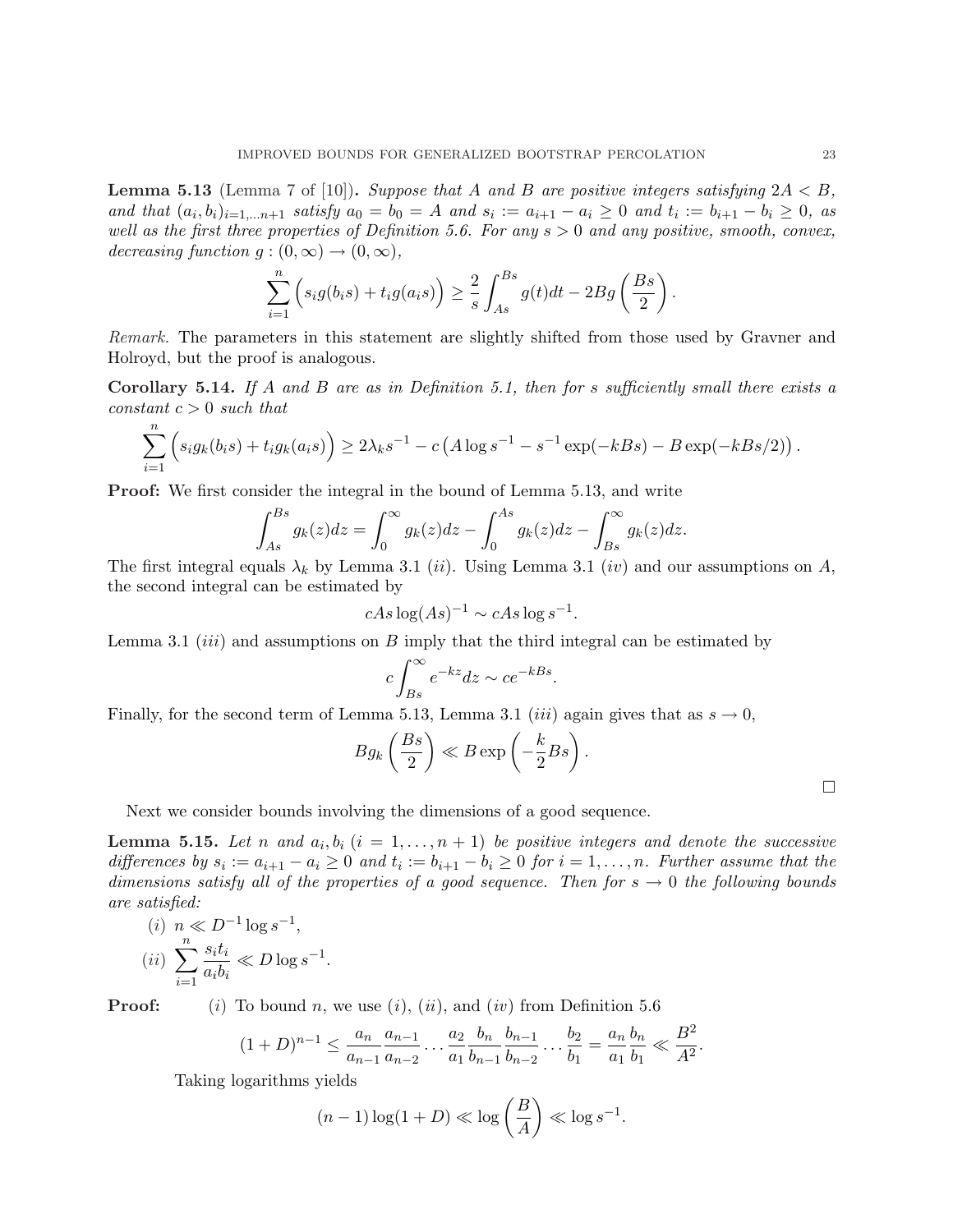**Lemma 5.13** (Lemma 7 of [10]). Suppose that A and B are positive integers satisfying  $2A < B$ , and that  $(a_i, b_i)_{i=1,...n+1}$  satisfy  $a_0 = b_0 = A$  and  $s_i := a_{i+1} - a_i \geq 0$  and  $t_i := b_{i+1} - b_i \geq 0$ , as well as the first three properties of Definition 5.6. For any  $s > 0$  and any positive, smooth, convex, decreasing function  $g:(0,\infty) \to (0,\infty)$ ,

$$
\sum_{i=1}^n \left( s_i g(b_i s) + t_i g(a_i s) \right) \geq \frac{2}{s} \int_{As}^{Bs} g(t) dt - 2Bg\left(\frac{Bs}{2}\right).
$$

Remark. The parameters in this statement are slightly shifted from those used by Gravner and Holroyd, but the proof is analogous.

Corollary 5.14. If A and B are as in Definition 5.1, then for s sufficiently small there exists a constant  $c > 0$  such that

$$
\sum_{i=1}^{n} \left( s_i g_k(b_i s) + t_i g_k(a_i s) \right) \ge 2\lambda_k s^{-1} - c \left( A \log s^{-1} - s^{-1} \exp(-k s) - B \exp(-k s/2) \right).
$$

Proof: We first consider the integral in the bound of Lemma 5.13, and write

$$
\int_{As}^{Bs} g_k(z)dz = \int_0^\infty g_k(z)dz - \int_0^{As} g_k(z)dz - \int_{Bs}^\infty g_k(z)dz.
$$

The first integral equals  $\lambda_k$  by Lemma 3.1 (*ii*). Using Lemma 3.1 (*iv*) and our assumptions on A, the second integral can be estimated by

$$
cAs \log(As)^{-1} \sim cAs \log s^{-1}.
$$

Lemma 3.1 *(iii)* and assumptions on  $B$  imply that the third integral can be estimated by

$$
c \int_{Bs}^{\infty} e^{-kz} dz \sim c e^{-kBs}.
$$

Finally, for the second term of Lemma 5.13, Lemma 3.1 *(iii)* again gives that as  $s \to 0$ ,  $\frac{1}{2}$ 

$$
Bg_k\left(\frac{Bs}{2}\right) \ll B\exp\left(-\frac{k}{2}Bs\right).
$$

Next we consider bounds involving the dimensions of a good sequence.

**Lemma 5.15.** Let n and  $a_i, b_i$   $(i = 1, \ldots, n + 1)$  be positive integers and denote the successive differences by  $s_i := a_{i+1} - a_i \geq 0$  and  $t_i := b_{i+1} - b_i \geq 0$  for  $i = 1, ..., n$ . Further assume that the dimensions satisfy all of the properties of a good sequence. Then for  $s \to 0$  the following bounds are satisfied:

$$
(i) \ n \ll D^{-1} \log s^{-1},
$$
  

$$
(ii) \ \sum_{i=1}^{n} \frac{s_i t_i}{a_i b_i} \ll D \log s^{-1}
$$

 $\overline{v}$ 

**Proof:** (i) To bound n, we use (i), (ii), and (iv) from Definition 5.6

$$
(1+D)^{n-1} \le \frac{a_n}{a_{n-1}} \frac{a_{n-1}}{a_{n-2}} \dots \frac{a_2}{a_1} \frac{b_n}{b_{n-1}} \frac{b_{n-1}}{b_{n-2}} \dots \frac{b_2}{b_1} = \frac{a_n}{a_1} \frac{b_n}{b_1} \ll \frac{B^2}{A^2}.
$$

Taking logarithms yields

.

$$
(n-1)\log(1+D) \ll \log\left(\frac{B}{A}\right) \ll \log s^{-1}.
$$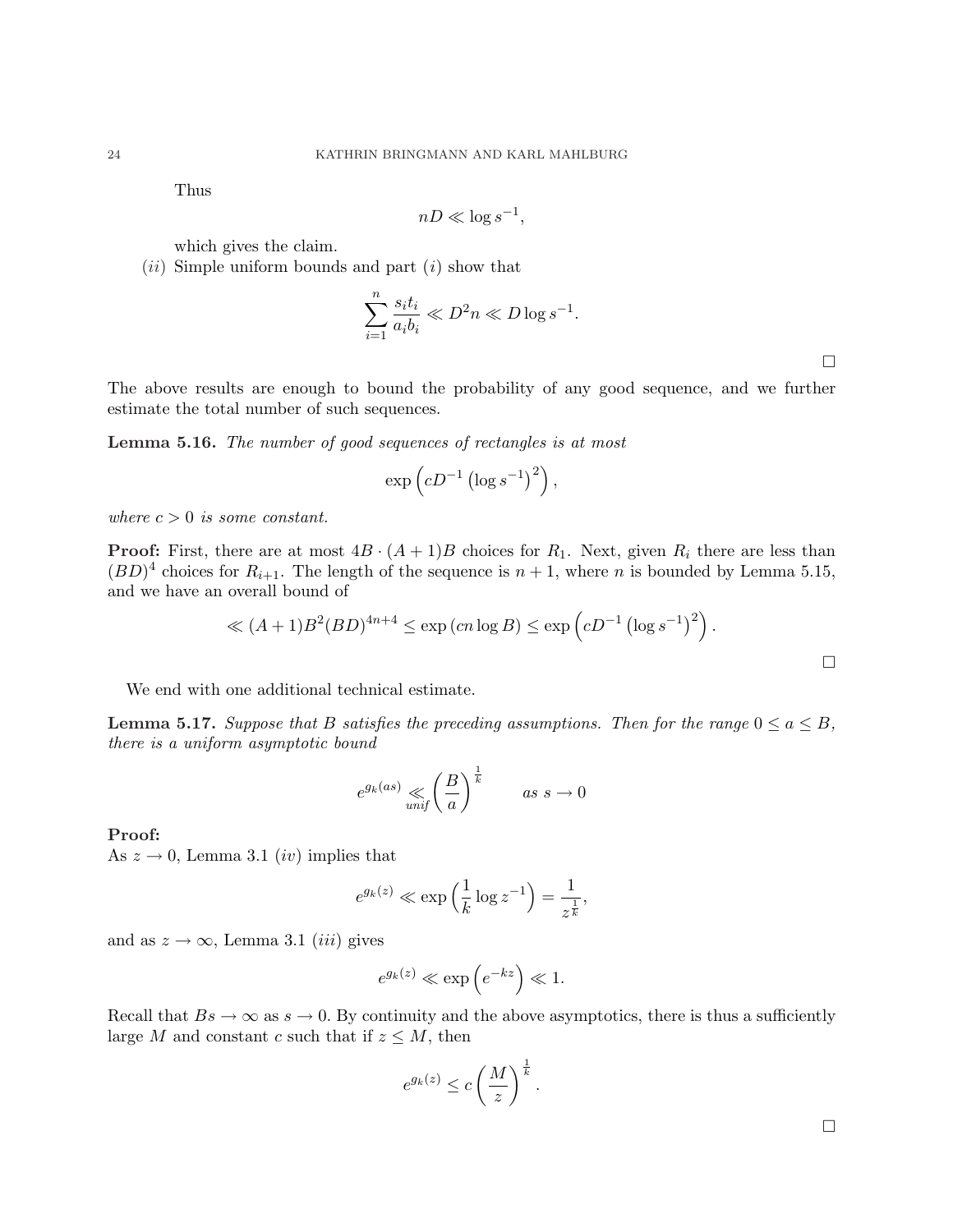Thus

$$
nD \ll \log s^{-1},
$$

which gives the claim.

 $(ii)$  Simple uniform bounds and part  $(i)$  show that

$$
\sum_{i=1}^{n} \frac{s_i t_i}{a_i b_i} \ll D^2 n \ll D \log s^{-1}.
$$

¤

 $\Box$ 

The above results are enough to bound the probability of any good sequence, and we further estimate the total number of such sequences.

Lemma 5.16. The number of good sequences of rectangles is at most

$$
\exp\left(cD^{-1}\left(\log s^{-1}\right)^2\right),\,
$$

where  $c > 0$  is some constant.

**Proof:** First, there are at most  $4B \cdot (A+1)B$  choices for  $R_1$ . Next, given  $R_i$  there are less than  $(BD)^4$  choices for  $R_{i+1}$ . The length of the sequence is  $n+1$ , where n is bounded by Lemma 5.15, and we have an overall bound of

$$
\ll (A+1)B^2(BD)^{4n+4} \le \exp\left(cn\log B\right) \le \exp\left(cD^{-1}\left(\log s^{-1}\right)^2\right).
$$

We end with one additional technical estimate.

**Lemma 5.17.** Suppose that B satisfies the preceding assumptions. Then for the range  $0 \le a \le B$ , there is a uniform asymptotic bound

$$
e^{g_k(as)} \ll \left(\frac{B}{a}\right)^{\frac{1}{k}} \qquad as \ s \to 0
$$

Proof:

As  $z \to 0$ , Lemma 3.1 *(iv)* implies that

$$
e^{g_k(z)} \ll \exp\left(\frac{1}{k}\log z^{-1}\right) = \frac{1}{z^{\frac{1}{k}}},
$$

and as  $z \to \infty$ , Lemma 3.1 *(iii)* gives

$$
e^{g_k(z)} \ll \exp\left(e^{-kz}\right) \ll 1.
$$

Recall that  $Bs \to \infty$  as  $s \to 0$ . By continuity and the above asymptotics, there is thus a sufficiently large M and constant c such that if  $z \leq M$ , then

$$
e^{g_k(z)} \le c \left(\frac{M}{z}\right)^{\frac{1}{k}}.
$$

¤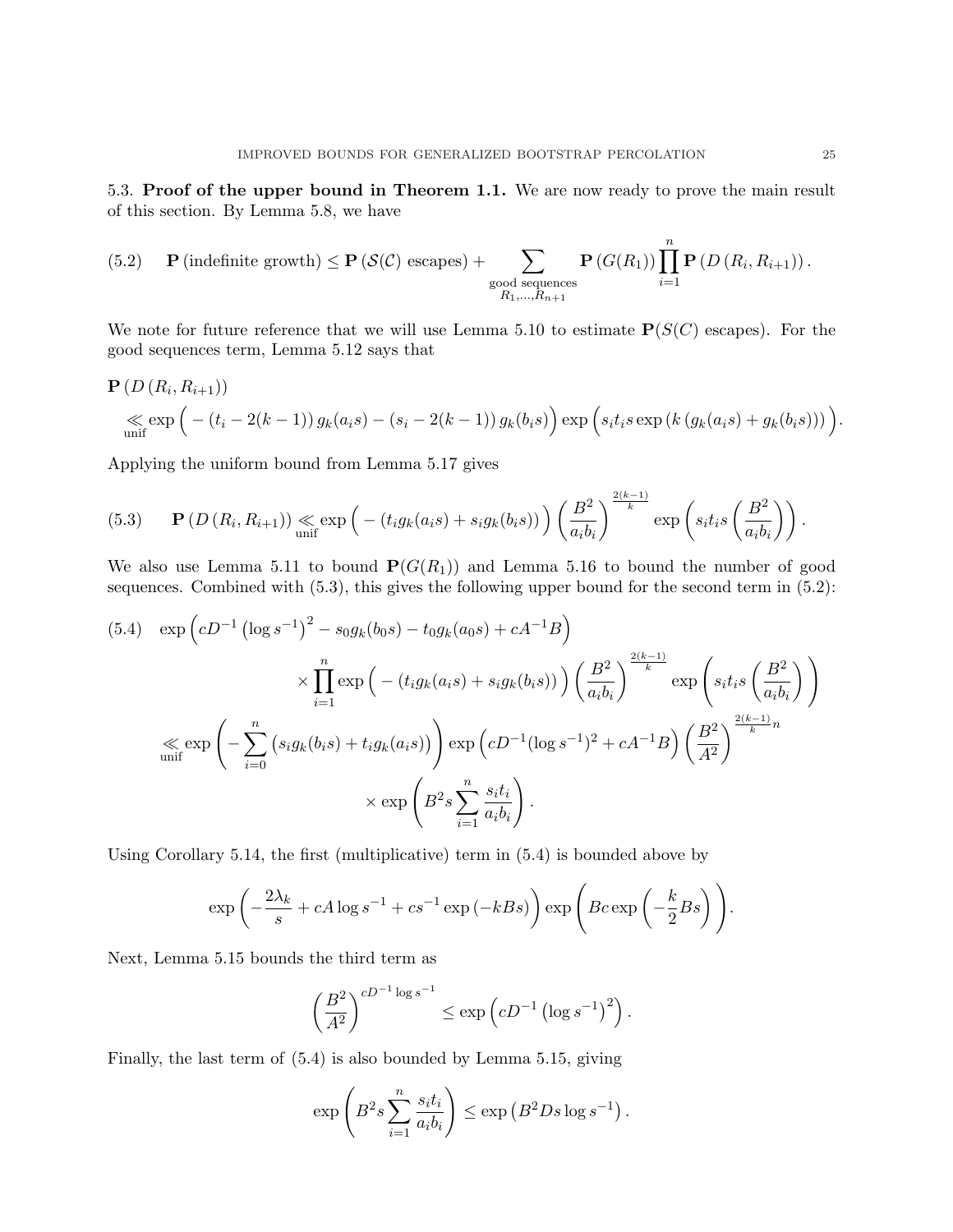5.3. Proof of the upper bound in Theorem 1.1. We are now ready to prove the main result of this section. By Lemma 5.8, we have

(5.2) 
$$
\mathbf{P}(\text{indefinite growth}) \leq \mathbf{P}(\mathcal{S}(\mathcal{C}) \text{ escapes}) + \sum_{\substack{\text{good sequences} \\ R_1, \dots, R_{n+1}}} \mathbf{P}(G(R_1)) \prod_{i=1}^n \mathbf{P}(D(R_i, R_{i+1})).
$$

We note for future reference that we will use Lemma 5.10 to estimate  $P(S(C)$  escapes). For the good sequences term, Lemma 5.12 says that

$$
P (D (Ri, Ri+1))\n
$$
\ll \exp (-(t_i - 2(k-1)) g_k(a_i s) - (s_i - 2(k-1)) g_k(b_i s)) \exp (s_i t_i s \exp (k (g_k(a_i s) + g_k(b_i s)))).
$$
$$

Applying the uniform bound from Lemma 5.17 gives

(5.3) 
$$
\mathbf{P}\left(D\left(R_i, R_{i+1}\right)\right) \underset{\text{unif}}{\ll} \exp\left(-\left(t_i g_k(a_i s) + s_i g_k(b_i s)\right)\right) \left(\frac{B^2}{a_i b_i}\right)^{\frac{2(k-1)}{k}} \exp\left(s_i t_i s\left(\frac{B^2}{a_i b_i}\right)\right).
$$

We also use Lemma 5.11 to bound  $P(G(R_1))$  and Lemma 5.16 to bound the number of good sequences. Combined with (5.3), this gives the following upper bound for the second term in (5.2):

$$
(5.4) \exp\left(cD^{-1}(\log s^{-1})^{2} - s_{0}g_{k}(b_{0}s) - t_{0}g_{k}(a_{0}s) + cA^{-1}B\right) \times \prod_{i=1}^{n} \exp\left(-\left(t_{i}g_{k}(a_{i}s) + s_{i}g_{k}(b_{i}s)\right)\right) \left(\frac{B^{2}}{a_{i}b_{i}}\right)^{\frac{2(k-1)}{k}} \exp\left(s_{i}t_{i}s\left(\frac{B^{2}}{a_{i}b_{i}}\right)\right)
$$

$$
\ll \exp\left(-\sum_{i=0}^{n}\left(s_{i}g_{k}(b_{i}s) + t_{i}g_{k}(a_{i}s)\right)\right) \exp\left(cD^{-1}(\log s^{-1})^{2} + cA^{-1}B\right) \left(\frac{B^{2}}{A^{2}}\right)^{\frac{2(k-1)}{k}n} \times \exp\left(B^{2}s\sum_{i=1}^{n}\frac{s_{i}t_{i}}{a_{i}b_{i}}\right).
$$

Using Corollary 5.14, the first (multiplicative) term in (5.4) is bounded above by

$$
\exp\left(-\frac{2\lambda_k}{s} + cA\log s^{-1} + cs^{-1}\exp\left(-kBs\right)\right)\exp\left( Bc\exp\left(-\frac{k}{2}Bs\right) \right).
$$

Next, Lemma 5.15 bounds the third term as

$$
\left(\frac{B^2}{A^2}\right)^{cD^{-1}\log s^{-1}} \le \exp\left(cD^{-1}\left(\log s^{-1}\right)^2\right).
$$

Finally, the last term of (5.4) is also bounded by Lemma 5.15, giving

$$
\exp\left(B^2 s \sum_{i=1}^n \frac{s_i t_i}{a_i b_i}\right) \le \exp\left(B^2 D s \log s^{-1}\right).
$$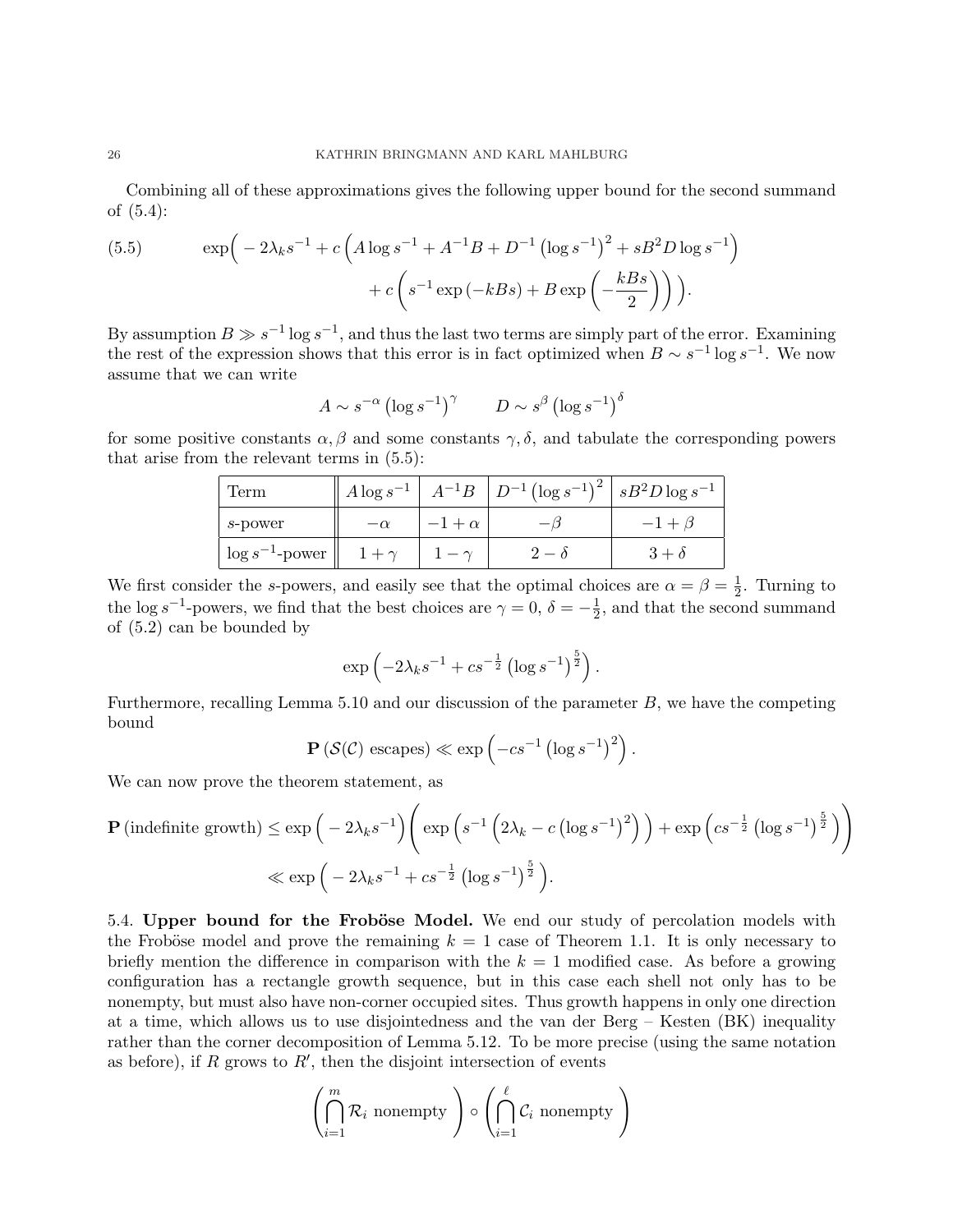Combining all of these approximations gives the following upper bound for the second summand of (5.4):

(5.5) 
$$
\exp\left(-2\lambda_k s^{-1} + c\left(A\log s^{-1} + A^{-1}B + D^{-1}\left(\log s^{-1}\right)^2 + sB^2D\log s^{-1}\right) + c\left(s^{-1}\exp\left(-kBs\right) + B\exp\left(-\frac{kBs}{2}\right)\right)\right).
$$

By assumption  $B \gg s^{-1} \log s^{-1}$ , and thus the last two terms are simply part of the error. Examining the rest of the expression shows that this error is in fact optimized when  $B \sim s^{-1} \log s^{-1}$ . We now assume that we can write

$$
A \sim s^{-\alpha} \left(\log s^{-1}\right)^{\gamma} \qquad D \sim s^{\beta} \left(\log s^{-1}\right)^{\delta}
$$

for some positive constants  $\alpha$ ,  $\beta$  and some constants  $\gamma$ ,  $\delta$ , and tabulate the corresponding powers that arise from the relevant terms in (5.5):

| Term                 | $A\log s^{-1}$ |                  | $A^{-1}B$ $D^{-1}(\log s^{-1})^2$ $sB^2D\log s^{-1}$ |  |
|----------------------|----------------|------------------|------------------------------------------------------|--|
| s-power              | $-\alpha$      | $-1 + \alpha$    |                                                      |  |
| $\log s^{-1}$ -power | $1 + \gamma$   | $\cdot - \gamma$ |                                                      |  |

We first consider the s-powers, and easily see that the optimal choices are  $\alpha = \beta = \frac{1}{2}$  $\frac{1}{2}$ . Turning to the log s<sup>-1</sup>-powers, we find that the best choices are  $\gamma = 0, \delta = -\frac{1}{2}$  $\frac{1}{2}$ , and that the second summand of (5.2) can be bounded by

$$
\exp\left(-2\lambda_k s^{-1} + c s^{-\frac{1}{2}} \left(\log s^{-1}\right)^{\frac{5}{2}}\right).
$$

Furthermore, recalling Lemma  $5.10$  and our discussion of the parameter  $B$ , we have the competing bound ´

$$
\mathbf{P}\left(\mathcal{S}(\mathcal{C})\text{ escapes}\right) \ll \exp\left(-cs^{-1}\left(\log s^{-1}\right)^2\right).
$$

We can now prove the theorem statement, as

$$
\mathbf{P}(\text{indefinite growth}) \le \exp\left(-2\lambda_k s^{-1}\right) \left(\exp\left(s^{-1}\left(2\lambda_k - c\left(\log s^{-1}\right)^2\right)\right) + \exp\left(c s^{-\frac{1}{2}}\left(\log s^{-1}\right)^{\frac{5}{2}}\right)\right) \ll \exp\left(-2\lambda_k s^{-1} + c s^{-\frac{1}{2}}\left(\log s^{-1}\right)^{\frac{5}{2}}\right).
$$

5.4. Upper bound for the Froböse Model. We end our study of percolation models with the Froböse model and prove the remaining  $k = 1$  case of Theorem 1.1. It is only necessary to briefly mention the difference in comparison with the  $k = 1$  modified case. As before a growing configuration has a rectangle growth sequence, but in this case each shell not only has to be nonempty, but must also have non-corner occupied sites. Thus growth happens in only one direction at a time, which allows us to use disjointedness and the van der Berg – Kesten (BK) inequality rather than the corner decomposition of Lemma 5.12. To be more precise (using the same notation as before), if R grows to  $R'$ , then the disjoint intersection of events

$$
\left(\bigcap_{i=1}^m \mathcal{R}_i \text{ nonempty}\right) \circ \left(\bigcap_{i=1}^{\ell} \mathcal{C}_i \text{ nonempty}\right)
$$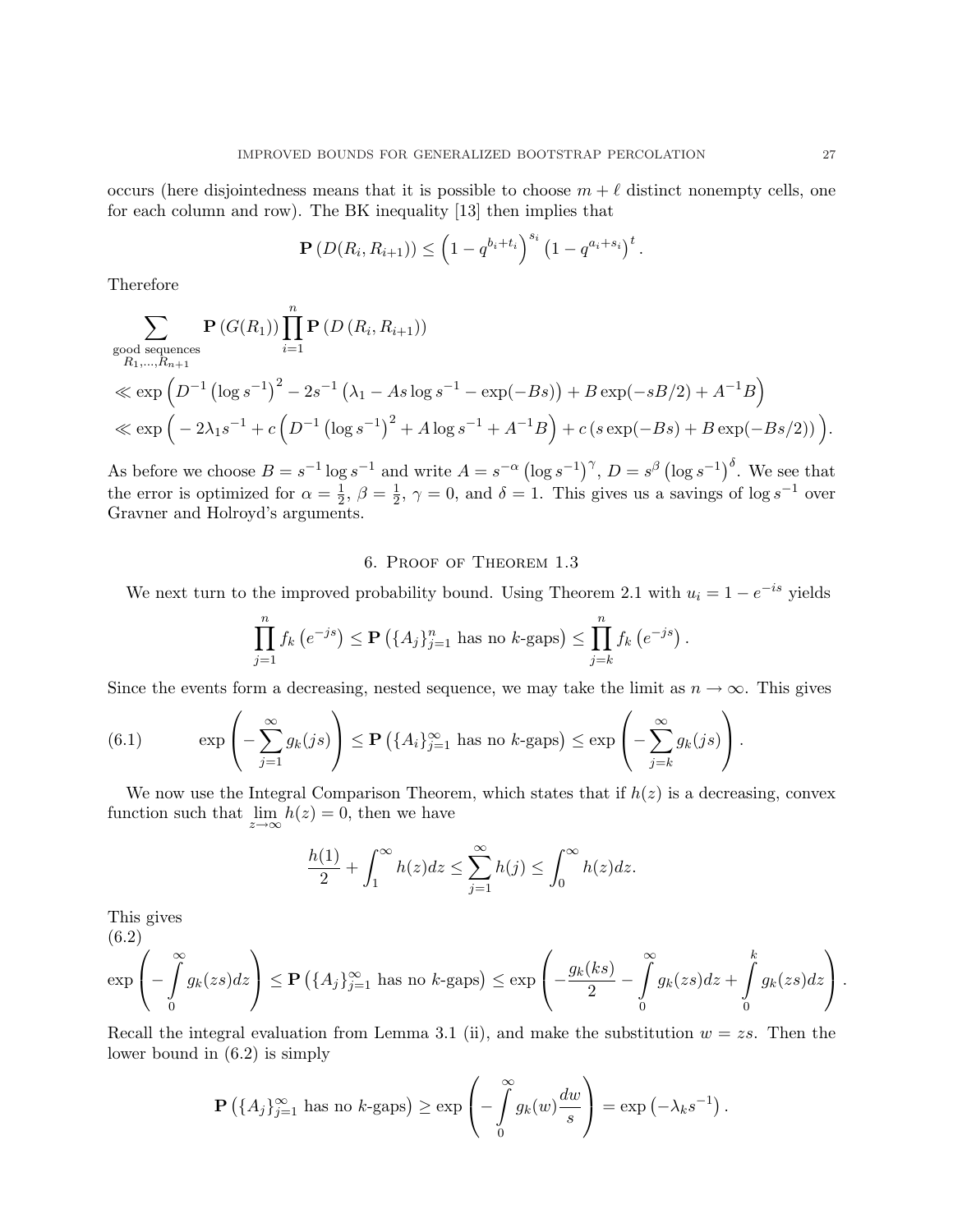occurs (here disjointedness means that it is possible to choose  $m + \ell$  distinct nonempty cells, one for each column and row). The BK inequality [13] then implies that

$$
\mathbf{P}(D(R_i, R_{i+1})) \leq \left(1 - q^{b_i + t_i}\right)^{s_i} \left(1 - q^{a_i + s_i}\right)^t.
$$

Therefore

$$
\sum_{\substack{B_1,\ldots,B_{n+1} \\ R_1,\ldots,R_{n+1}}} \mathbf{P}\left(G(R_1)\right) \prod_{i=1}^n \mathbf{P}\left(D\left(R_i,R_{i+1}\right)\right)
$$
\n
$$
\ll \exp\left(D^{-1}\left(\log s^{-1}\right)^2 - 2s^{-1}\left(\lambda_1 - As\log s^{-1} - \exp(-Bs)\right) + B\exp(-sB/2) + A^{-1}B\right)
$$
\n
$$
\ll \exp\left(-2\lambda_1 s^{-1} + c\left(D^{-1}\left(\log s^{-1}\right)^2 + A\log s^{-1} + A^{-1}B\right) + c\left(s\exp(-Bs) + B\exp(-Bs/2)\right)\right).
$$

As before we choose  $B = s^{-1} \log s^{-1}$  and write  $A = s^{-\alpha}$  (  $\log s^{-1}$ <sup> $\gamma$ </sup>,  $D = s^{\beta}$  (  $\log s^{-1}$ <sup>δ</sup>. We see that the error is optimized for  $\alpha = \frac{1}{2}$  $\frac{1}{2}, \beta = \frac{1}{2}$  $\frac{1}{2}$ ,  $\gamma = 0$ , and  $\delta = 1$ . This gives us a savings of log s<sup>-1</sup> over Gravner and Holroyd's arguments.

## 6. Proof of Theorem 1.3

We next turn to the improved probability bound. Using Theorem 2.1 with  $u_i = 1 - e^{-is}$  yields

$$
\prod_{j=1}^{n} f_k\left(e^{-js}\right) \le \mathbf{P}\left(\{A_j\}_{j=1}^n \text{ has no } k\text{-gaps}\right) \le \prod_{j=k}^{n} f_k\left(e^{-js}\right).
$$

Since the events form a decreasing, nested sequence, we may take the limit as  $n \to \infty$ . This gives

(6.1) 
$$
\exp\left(-\sum_{j=1}^{\infty} g_k(js)\right) \le \mathbf{P}\left(\{A_i\}_{j=1}^{\infty} \text{ has no } k\text{-gaps}\right) \le \exp\left(-\sum_{j=k}^{\infty} g_k(js)\right).
$$

We now use the Integral Comparison Theorem, which states that if  $h(z)$  is a decreasing, convex function such that  $\lim_{z \to \infty} h(z) = 0$ , then we have

$$
\frac{h(1)}{2} + \int_1^\infty h(z)dz \le \sum_{j=1}^\infty h(j) \le \int_0^\infty h(z)dz.
$$

This gives

(6.2)  
\n
$$
\exp\left(-\int\limits_0^\infty g_k(zs)dz\right) \le \mathbf{P}\left(\{A_j\}_{j=1}^\infty \text{ has no } k\text{-gaps}\right) \le \exp\left(-\frac{g_k(ks)}{2} - \int\limits_0^\infty g_k(zs)dz + \int\limits_0^k g_k(zs)dz\right).
$$

Recall the integral evaluation from Lemma 3.1 (ii), and make the substitution  $w = zs$ . Then the lower bound in (6.2) is simply

$$
\mathbf{P}\left(\{A_j\}_{j=1}^{\infty} \text{ has no } k\text{-gaps}\right) \ge \exp\left(-\int\limits_{0}^{\infty} g_k(w) \frac{dw}{s}\right) = \exp\left(-\lambda_k s^{-1}\right).
$$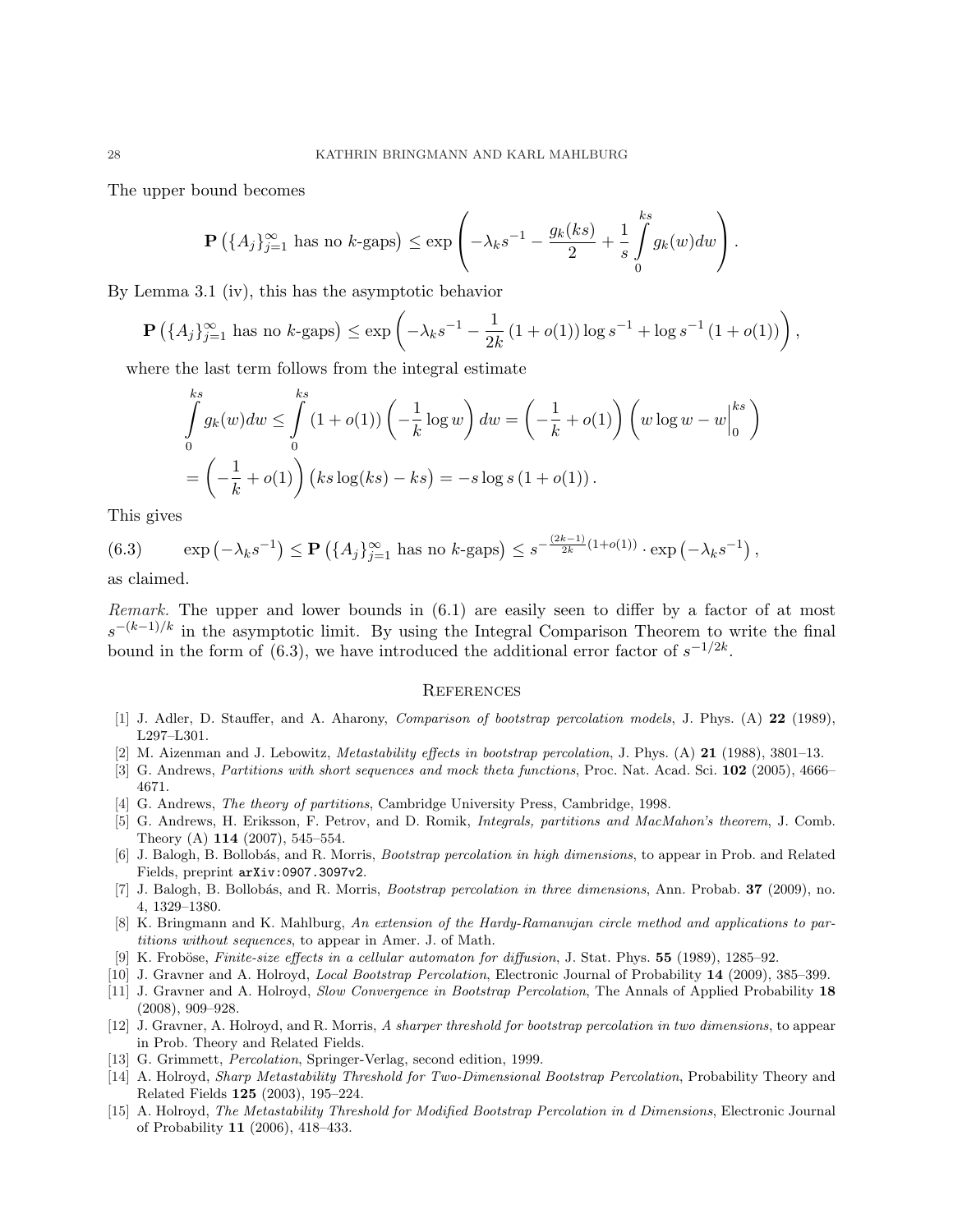The upper bound becomes

$$
\mathbf{P}\left(\{A_j\}_{j=1}^{\infty} \text{ has no } k\text{-gaps}\right) \le \exp\left(-\lambda_k s^{-1} - \frac{g_k(ks)}{2} + \frac{1}{s} \int\limits_0^{ks} g_k(w) dw\right).
$$

By Lemma 3.1 (iv), this has the asymptotic behavior

$$
\mathbf{P}\left(\{A_j\}_{j=1}^{\infty} \text{ has no } k\text{-gaps}\right) \le \exp\left(-\lambda_k s^{-1} - \frac{1}{2k} \left(1 + o(1)\right) \log s^{-1} + \log s^{-1} \left(1 + o(1)\right)\right),
$$

where the last term follows from the integral estimate

$$
\int_{0}^{ks} g_{k}(w)dw \leq \int_{0}^{ks} (1 + o(1)) \left( -\frac{1}{k} \log w \right) dw = \left( -\frac{1}{k} + o(1) \right) \left( w \log w - w \Big|_{0}^{ks} \right)
$$

$$
= \left( -\frac{1}{k} + o(1) \right) \left( ks \log(ks) - ks \right) = -s \log s (1 + o(1)).
$$

This gives

(6.3)  $\exp(-\lambda_k s^{-1})$  $\leq$   $\mathbf{P}$ ¡  ${A_j}_{j=1}^{\infty}$  has no  $k$ -gaps $\leq s^{-\frac{(2k-1)}{2k}(1+o(1))} \cdot \exp(-\lambda_k s^{-1})$ ,

as claimed.

Remark. The upper and lower bounds in  $(6.1)$  are easily seen to differ by a factor of at most  $s^{-(k-1)/k}$  in the asymptotic limit. By using the Integral Comparison Theorem to write the final bound in the form of (6.3), we have introduced the additional error factor of  $s^{-1/2k}$ .

## **REFERENCES**

- [1] J. Adler, D. Stauffer, and A. Aharony, Comparison of bootstrap percolation models, J. Phys. (A) 22 (1989), L297–L301.
- [2] M. Aizenman and J. Lebowitz, Metastability effects in bootstrap percolation, J. Phys. (A) 21 (1988), 3801-13.
- [3] G. Andrews, Partitions with short sequences and mock theta functions, Proc. Nat. Acad. Sci. 102 (2005), 4666– 4671.
- [4] G. Andrews, The theory of partitions, Cambridge University Press, Cambridge, 1998.
- [5] G. Andrews, H. Eriksson, F. Petrov, and D. Romik, Integrals, partitions and MacMahon's theorem, J. Comb. Theory (A) 114 (2007), 545–554.
- [6] J. Balogh, B. Bollobás, and R. Morris, Bootstrap percolation in high dimensions, to appear in Prob. and Related Fields, preprint arXiv:0907.3097v2.
- [7] J. Balogh, B. Bollobás, and R. Morris, *Bootstrap percolation in three dimensions*, Ann. Probab. **37** (2009), no. 4, 1329–1380.
- [8] K. Bringmann and K. Mahlburg, An extension of the Hardy-Ramanujan circle method and applications to partitions without sequences, to appear in Amer. J. of Math.
- [9] K. Froböse, Finite-size effects in a cellular automaton for diffusion, J. Stat. Phys. 55 (1989), 1285–92.
- [10] J. Gravner and A. Holroyd, Local Bootstrap Percolation, Electronic Journal of Probability 14 (2009), 385–399.
- [11] J. Gravner and A. Holroyd, Slow Convergence in Bootstrap Percolation, The Annals of Applied Probability 18 (2008), 909–928.
- [12] J. Gravner, A. Holroyd, and R. Morris, A sharper threshold for bootstrap percolation in two dimensions, to appear in Prob. Theory and Related Fields.
- [13] G. Grimmett, *Percolation*, Springer-Verlag, second edition, 1999.
- [14] A. Holroyd, Sharp Metastability Threshold for Two-Dimensional Bootstrap Percolation, Probability Theory and Related Fields 125 (2003), 195–224.
- [15] A. Holroyd, The Metastability Threshold for Modified Bootstrap Percolation in d Dimensions, Electronic Journal of Probability 11 (2006), 418–433.